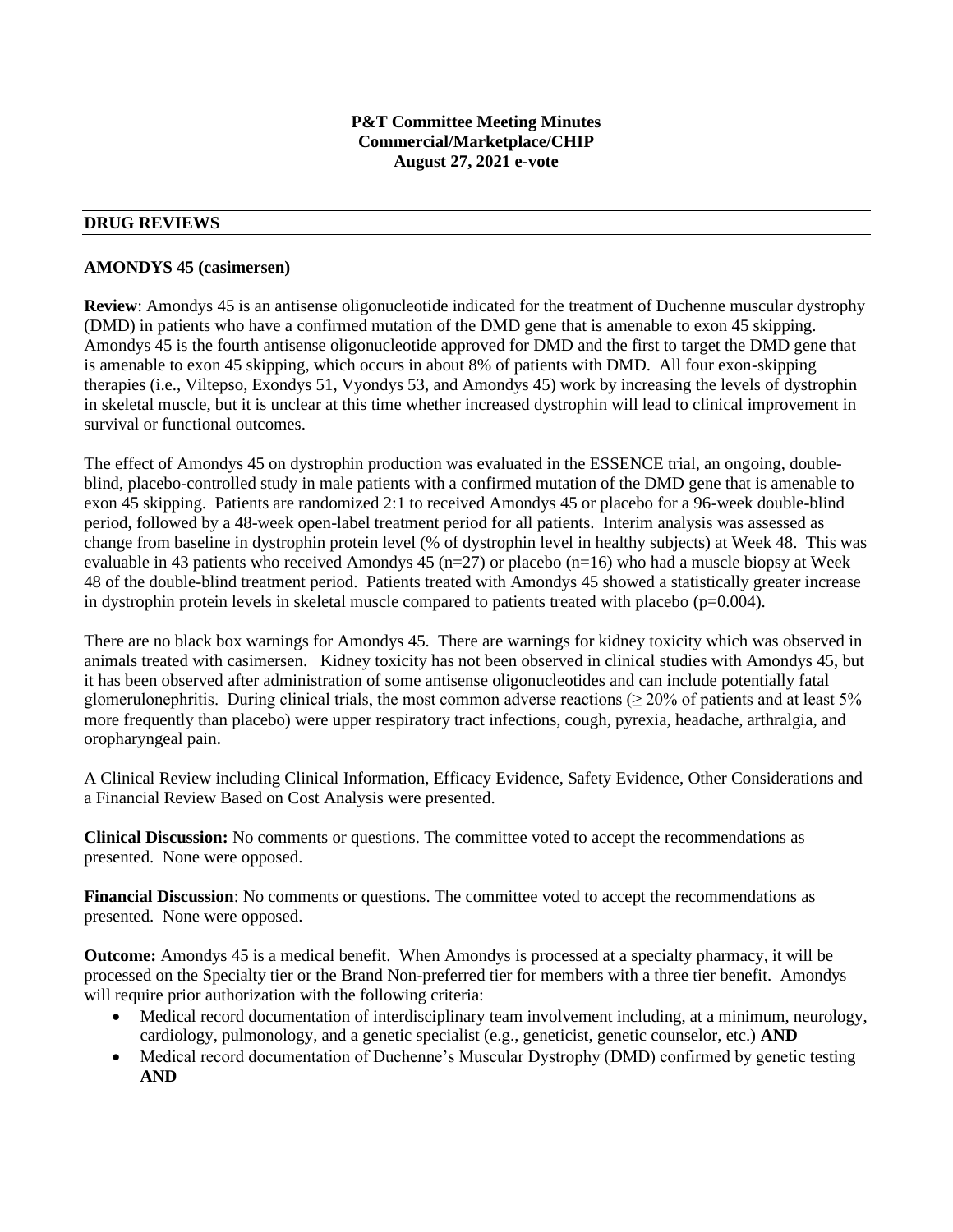## **P&T Committee Meeting Minutes Commercial/Marketplace/CHIP August 27, 2021 e-vote**

# **DRUG REVIEWS**

### **AMONDYS 45 (casimersen)**

**Review**: Amondys 45 is an antisense oligonucleotide indicated for the treatment of Duchenne muscular dystrophy (DMD) in patients who have a confirmed mutation of the DMD gene that is amenable to exon 45 skipping. Amondys 45 is the fourth antisense oligonucleotide approved for DMD and the first to target the DMD gene that is amenable to exon 45 skipping, which occurs in about 8% of patients with DMD. All four exon-skipping therapies (i.e., Viltepso, Exondys 51, Vyondys 53, and Amondys 45) work by increasing the levels of dystrophin in skeletal muscle, but it is unclear at this time whether increased dystrophin will lead to clinical improvement in survival or functional outcomes.

The effect of Amondys 45 on dystrophin production was evaluated in the ESSENCE trial, an ongoing, doubleblind, placebo-controlled study in male patients with a confirmed mutation of the DMD gene that is amenable to exon 45 skipping. Patients are randomized 2:1 to received Amondys 45 or placebo for a 96-week double-blind period, followed by a 48-week open-label treatment period for all patients. Interim analysis was assessed as change from baseline in dystrophin protein level (% of dystrophin level in healthy subjects) at Week 48. This was evaluable in 43 patients who received Amondys 45 ( $n=27$ ) or placebo ( $n=16$ ) who had a muscle biopsy at Week 48 of the double-blind treatment period. Patients treated with Amondys 45 showed a statistically greater increase in dystrophin protein levels in skeletal muscle compared to patients treated with placebo (p=0.004).

There are no black box warnings for Amondys 45. There are warnings for kidney toxicity which was observed in animals treated with casimersen. Kidney toxicity has not been observed in clinical studies with Amondys 45, but it has been observed after administration of some antisense oligonucleotides and can include potentially fatal glomerulonephritis. During clinical trials, the most common adverse reactions ( $\geq$  20% of patients and at least 5% more frequently than placebo) were upper respiratory tract infections, cough, pyrexia, headache, arthralgia, and oropharyngeal pain.

A Clinical Review including Clinical Information, Efficacy Evidence, Safety Evidence, Other Considerations and a Financial Review Based on Cost Analysis were presented.

**Clinical Discussion:** No comments or questions. The committee voted to accept the recommendations as presented. None were opposed.

**Financial Discussion**: No comments or questions. The committee voted to accept the recommendations as presented. None were opposed.

**Outcome:** Amondys 45 is a medical benefit. When Amondys is processed at a specialty pharmacy, it will be processed on the Specialty tier or the Brand Non-preferred tier for members with a three tier benefit. Amondys will require prior authorization with the following criteria:

- Medical record documentation of interdisciplinary team involvement including, at a minimum, neurology, cardiology, pulmonology, and a genetic specialist (e.g., geneticist, genetic counselor, etc.) **AND**
- Medical record documentation of Duchenne's Muscular Dystrophy (DMD) confirmed by genetic testing **AND**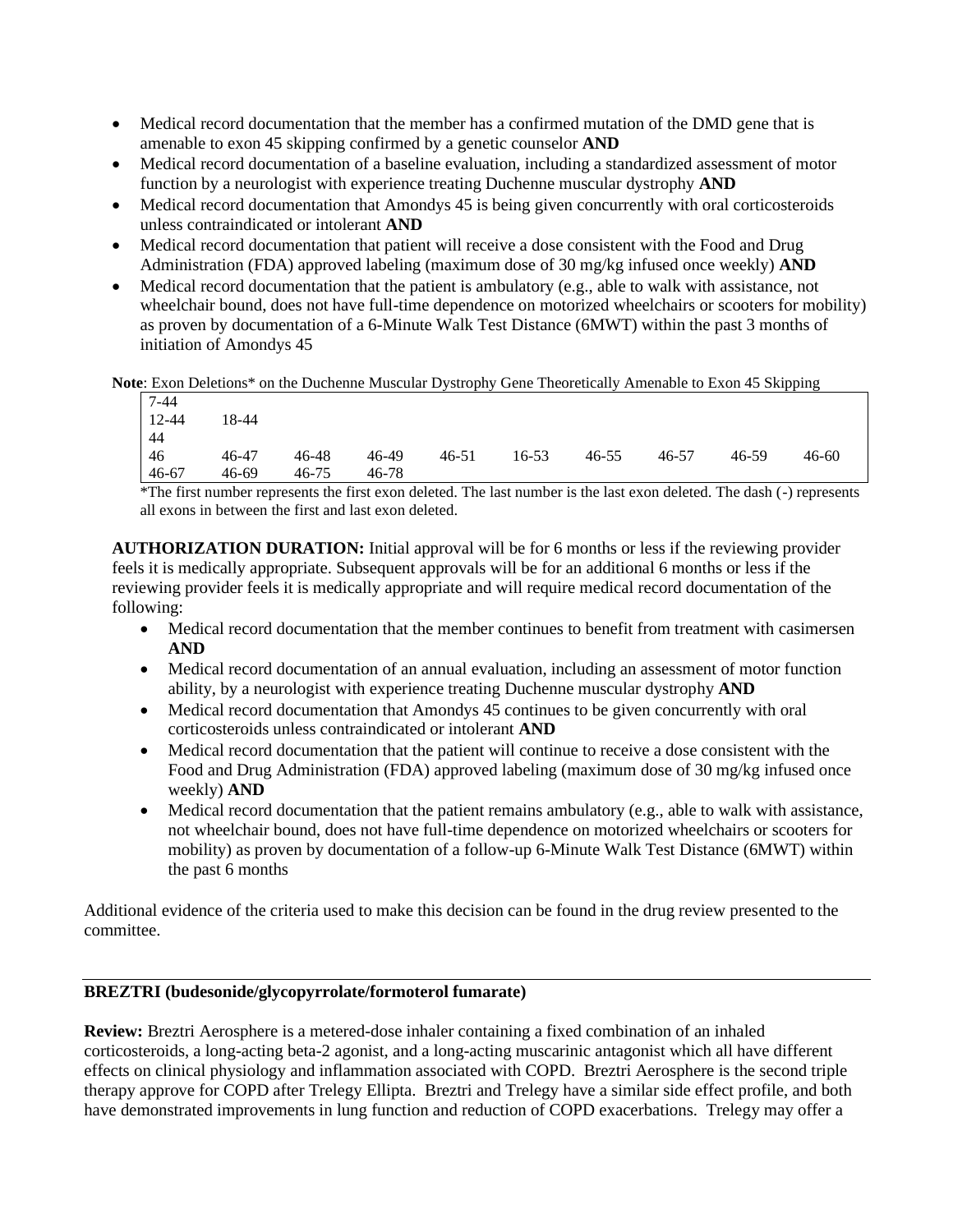- Medical record documentation that the member has a confirmed mutation of the DMD gene that is amenable to exon 45 skipping confirmed by a genetic counselor **AND**
- Medical record documentation of a baseline evaluation, including a standardized assessment of motor function by a neurologist with experience treating Duchenne muscular dystrophy **AND**
- Medical record documentation that Amondys 45 is being given concurrently with oral corticosteroids unless contraindicated or intolerant **AND**
- Medical record documentation that patient will receive a dose consistent with the Food and Drug Administration (FDA) approved labeling (maximum dose of 30 mg/kg infused once weekly) **AND**
- Medical record documentation that the patient is ambulatory (e.g., able to walk with assistance, not wheelchair bound, does not have full-time dependence on motorized wheelchairs or scooters for mobility) as proven by documentation of a 6-Minute Walk Test Distance (6MWT) within the past 3 months of initiation of Amondys 45

**Note**: Exon Deletions\* on the Duchenne Muscular Dystrophy Gene Theoretically Amenable to Exon 45 Skipping

| $7 - 44$ |       |           |       |           |           |           |       |       |           |
|----------|-------|-----------|-------|-----------|-----------|-----------|-------|-------|-----------|
| $12-44$  | 18-44 |           |       |           |           |           |       |       |           |
| l 44     |       |           |       |           |           |           |       |       |           |
| $-46$    | 46-47 | 46-48     | 46-49 | $46 - 51$ | $16 - 53$ | $46 - 55$ | 46-57 | 46-59 | $46 - 60$ |
| $46-67$  | 46-69 | $46 - 75$ | 46-78 |           |           |           |       |       |           |
|          |       |           |       |           |           |           |       |       |           |

\*The first number represents the first exon deleted. The last number is the last exon deleted. The dash (-) represents all exons in between the first and last exon deleted.

**AUTHORIZATION DURATION:** Initial approval will be for 6 months or less if the reviewing provider feels it is medically appropriate. Subsequent approvals will be for an additional 6 months or less if the reviewing provider feels it is medically appropriate and will require medical record documentation of the following:

- Medical record documentation that the member continues to benefit from treatment with casimersen **AND**
- Medical record documentation of an annual evaluation, including an assessment of motor function ability, by a neurologist with experience treating Duchenne muscular dystrophy **AND**
- Medical record documentation that Amondys 45 continues to be given concurrently with oral corticosteroids unless contraindicated or intolerant **AND**
- Medical record documentation that the patient will continue to receive a dose consistent with the Food and Drug Administration (FDA) approved labeling (maximum dose of 30 mg/kg infused once weekly) **AND**
- Medical record documentation that the patient remains ambulatory (e.g., able to walk with assistance, not wheelchair bound, does not have full-time dependence on motorized wheelchairs or scooters for mobility) as proven by documentation of a follow-up 6-Minute Walk Test Distance (6MWT) within the past 6 months

Additional evidence of the criteria used to make this decision can be found in the drug review presented to the committee.

# **BREZTRI (budesonide/glycopyrrolate/formoterol fumarate)**

**Review:** Breztri Aerosphere is a metered-dose inhaler containing a fixed combination of an inhaled corticosteroids, a long-acting beta-2 agonist, and a long-acting muscarinic antagonist which all have different effects on clinical physiology and inflammation associated with COPD. Breztri Aerosphere is the second triple therapy approve for COPD after Trelegy Ellipta. Breztri and Trelegy have a similar side effect profile, and both have demonstrated improvements in lung function and reduction of COPD exacerbations. Trelegy may offer a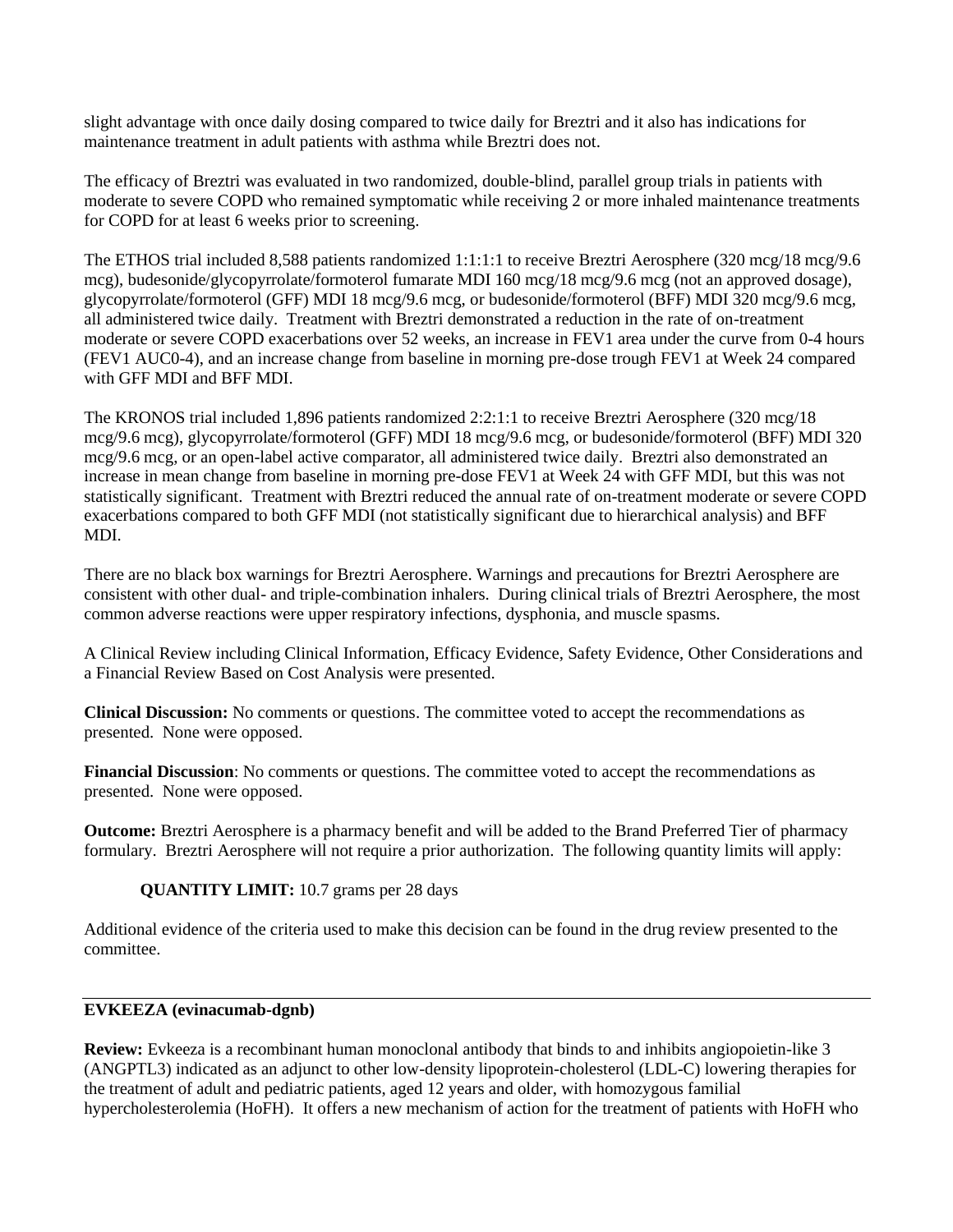slight advantage with once daily dosing compared to twice daily for Breztri and it also has indications for maintenance treatment in adult patients with asthma while Breztri does not.

The efficacy of Breztri was evaluated in two randomized, double-blind, parallel group trials in patients with moderate to severe COPD who remained symptomatic while receiving 2 or more inhaled maintenance treatments for COPD for at least 6 weeks prior to screening.

The ETHOS trial included 8,588 patients randomized 1:1:1:1 to receive Breztri Aerosphere (320 mcg/18 mcg/9.6 mcg), budesonide/glycopyrrolate/formoterol fumarate MDI 160 mcg/18 mcg/9.6 mcg (not an approved dosage), glycopyrrolate/formoterol (GFF) MDI 18 mcg/9.6 mcg, or budesonide/formoterol (BFF) MDI 320 mcg/9.6 mcg, all administered twice daily. Treatment with Breztri demonstrated a reduction in the rate of on-treatment moderate or severe COPD exacerbations over 52 weeks, an increase in FEV1 area under the curve from 0-4 hours (FEV1 AUC0-4), and an increase change from baseline in morning pre-dose trough FEV1 at Week 24 compared with GFF MDI and BFF MDI.

The KRONOS trial included 1,896 patients randomized 2:2:1:1 to receive Breztri Aerosphere (320 mcg/18 mcg/9.6 mcg), glycopyrrolate/formoterol (GFF) MDI 18 mcg/9.6 mcg, or budesonide/formoterol (BFF) MDI 320 mcg/9.6 mcg, or an open-label active comparator, all administered twice daily. Breztri also demonstrated an increase in mean change from baseline in morning pre-dose FEV1 at Week 24 with GFF MDI, but this was not statistically significant. Treatment with Breztri reduced the annual rate of on-treatment moderate or severe COPD exacerbations compared to both GFF MDI (not statistically significant due to hierarchical analysis) and BFF MDI.

There are no black box warnings for Breztri Aerosphere. Warnings and precautions for Breztri Aerosphere are consistent with other dual- and triple-combination inhalers. During clinical trials of Breztri Aerosphere, the most common adverse reactions were upper respiratory infections, dysphonia, and muscle spasms.

A Clinical Review including Clinical Information, Efficacy Evidence, Safety Evidence, Other Considerations and a Financial Review Based on Cost Analysis were presented.

**Clinical Discussion:** No comments or questions. The committee voted to accept the recommendations as presented. None were opposed.

**Financial Discussion**: No comments or questions. The committee voted to accept the recommendations as presented. None were opposed.

**Outcome:** Breztri Aerosphere is a pharmacy benefit and will be added to the Brand Preferred Tier of pharmacy formulary. Breztri Aerosphere will not require a prior authorization. The following quantity limits will apply:

# **QUANTITY LIMIT:** 10.7 grams per 28 days

Additional evidence of the criteria used to make this decision can be found in the drug review presented to the committee.

# **EVKEEZA (evinacumab-dgnb)**

**Review:** Evkeeza is a recombinant human monoclonal antibody that binds to and inhibits angiopoietin-like 3 (ANGPTL3) indicated as an adjunct to other low-density lipoprotein-cholesterol (LDL-C) lowering therapies for the treatment of adult and pediatric patients, aged 12 years and older, with homozygous familial hypercholesterolemia (HoFH). It offers a new mechanism of action for the treatment of patients with HoFH who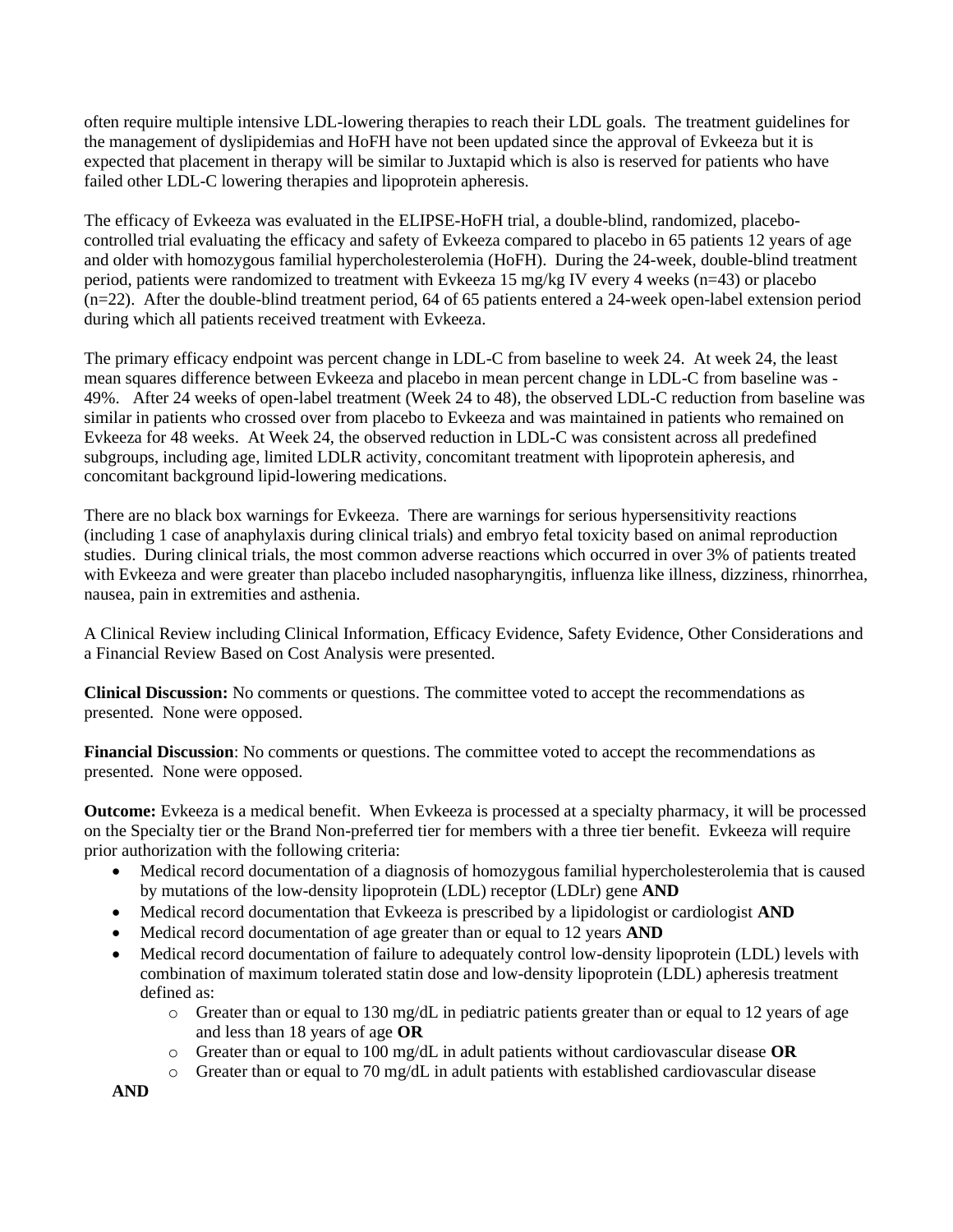often require multiple intensive LDL-lowering therapies to reach their LDL goals. The treatment guidelines for the management of dyslipidemias and HoFH have not been updated since the approval of Evkeeza but it is expected that placement in therapy will be similar to Juxtapid which is also is reserved for patients who have failed other LDL-C lowering therapies and lipoprotein apheresis.

The efficacy of Evkeeza was evaluated in the ELIPSE-HoFH trial, a double-blind, randomized, placebocontrolled trial evaluating the efficacy and safety of Evkeeza compared to placebo in 65 patients 12 years of age and older with homozygous familial hypercholesterolemia (HoFH). During the 24-week, double-blind treatment period, patients were randomized to treatment with Evkeeza 15 mg/kg IV every 4 weeks (n=43) or placebo (n=22). After the double-blind treatment period, 64 of 65 patients entered a 24-week open-label extension period during which all patients received treatment with Evkeeza.

The primary efficacy endpoint was percent change in LDL-C from baseline to week 24. At week 24, the least mean squares difference between Evkeeza and placebo in mean percent change in LDL-C from baseline was - 49%. After 24 weeks of open-label treatment (Week 24 to 48), the observed LDL-C reduction from baseline was similar in patients who crossed over from placebo to Evkeeza and was maintained in patients who remained on Evkeeza for 48 weeks. At Week 24, the observed reduction in LDL-C was consistent across all predefined subgroups, including age, limited LDLR activity, concomitant treatment with lipoprotein apheresis, and concomitant background lipid-lowering medications.

There are no black box warnings for Evkeeza. There are warnings for serious hypersensitivity reactions (including 1 case of anaphylaxis during clinical trials) and embryo fetal toxicity based on animal reproduction studies. During clinical trials, the most common adverse reactions which occurred in over 3% of patients treated with Evkeeza and were greater than placebo included nasopharyngitis, influenza like illness, dizziness, rhinorrhea, nausea, pain in extremities and asthenia.

A Clinical Review including Clinical Information, Efficacy Evidence, Safety Evidence, Other Considerations and a Financial Review Based on Cost Analysis were presented.

**Clinical Discussion:** No comments or questions. The committee voted to accept the recommendations as presented. None were opposed.

**Financial Discussion**: No comments or questions. The committee voted to accept the recommendations as presented. None were opposed.

**Outcome:** Evkeeza is a medical benefit. When Evkeeza is processed at a specialty pharmacy, it will be processed on the Specialty tier or the Brand Non-preferred tier for members with a three tier benefit. Evkeeza will require prior authorization with the following criteria:

- Medical record documentation of a diagnosis of homozygous familial hypercholesterolemia that is caused by mutations of the low-density lipoprotein (LDL) receptor (LDLr) gene **AND**
- Medical record documentation that Evkeeza is prescribed by a lipidologist or cardiologist **AND**
- Medical record documentation of age greater than or equal to 12 years **AND**
- Medical record documentation of failure to adequately control low-density lipoprotein (LDL) levels with combination of maximum tolerated statin dose and low-density lipoprotein (LDL) apheresis treatment defined as:
	- $\circ$  Greater than or equal to 130 mg/dL in pediatric patients greater than or equal to 12 years of age and less than 18 years of age **OR**
	- o Greater than or equal to 100 mg/dL in adult patients without cardiovascular disease **OR**
	- $\circ$  Greater than or equal to 70 mg/dL in adult patients with established cardiovascular disease

**AND**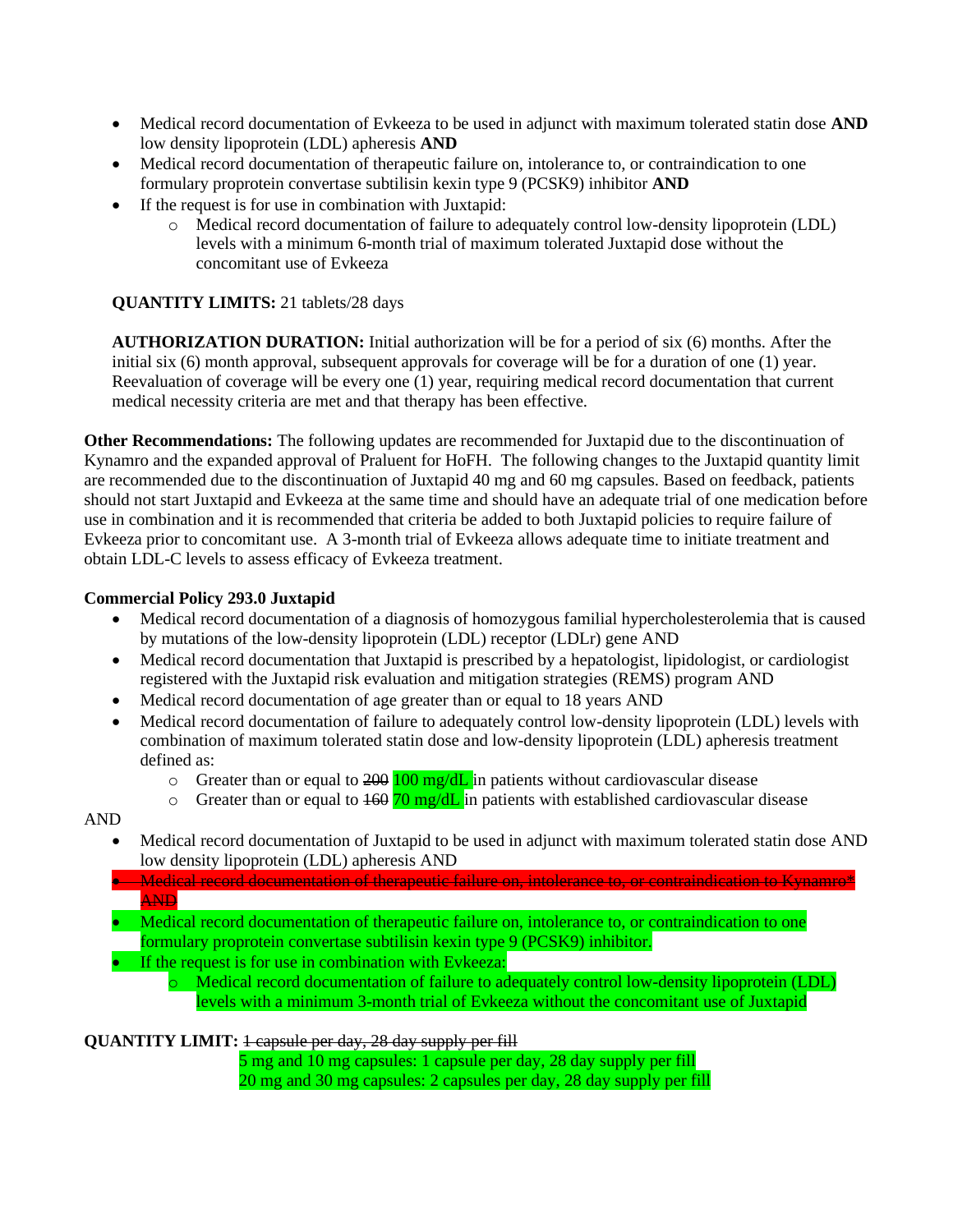- Medical record documentation of Evkeeza to be used in adjunct with maximum tolerated statin dose **AND** low density lipoprotein (LDL) apheresis **AND**
- Medical record documentation of therapeutic failure on, intolerance to, or contraindication to one formulary proprotein convertase subtilisin kexin type 9 (PCSK9) inhibitor **AND**
- If the request is for use in combination with Juxtapid:
	- o Medical record documentation of failure to adequately control low-density lipoprotein (LDL) levels with a minimum 6-month trial of maximum tolerated Juxtapid dose without the concomitant use of Evkeeza

## **QUANTITY LIMITS:** 21 tablets/28 days

**AUTHORIZATION DURATION:** Initial authorization will be for a period of six (6) months. After the initial six (6) month approval, subsequent approvals for coverage will be for a duration of one (1) year. Reevaluation of coverage will be every one (1) year, requiring medical record documentation that current medical necessity criteria are met and that therapy has been effective.

**Other Recommendations:** The following updates are recommended for Juxtapid due to the discontinuation of Kynamro and the expanded approval of Praluent for HoFH. The following changes to the Juxtapid quantity limit are recommended due to the discontinuation of Juxtapid 40 mg and 60 mg capsules. Based on feedback, patients should not start Juxtapid and Evkeeza at the same time and should have an adequate trial of one medication before use in combination and it is recommended that criteria be added to both Juxtapid policies to require failure of Evkeeza prior to concomitant use. A 3-month trial of Evkeeza allows adequate time to initiate treatment and obtain LDL-C levels to assess efficacy of Evkeeza treatment.

## **Commercial Policy 293.0 Juxtapid**

- Medical record documentation of a diagnosis of homozygous familial hypercholesterolemia that is caused by mutations of the low-density lipoprotein (LDL) receptor (LDLr) gene AND
- Medical record documentation that Juxtapid is prescribed by a hepatologist, lipidologist, or cardiologist registered with the Juxtapid risk evaluation and mitigation strategies (REMS) program AND
- Medical record documentation of age greater than or equal to 18 years AND
- Medical record documentation of failure to adequately control low-density lipoprotein (LDL) levels with combination of maximum tolerated statin dose and low-density lipoprotein (LDL) apheresis treatment defined as:
	- $\circ$  Greater than or equal to 200  $100 \text{ mg/dL}$  in patients without cardiovascular disease
	- $\circ$  Greater than or equal to  $\frac{160}{70}$  mg/dL in patients with established cardiovascular disease

#### AND

- Medical record documentation of Juxtapid to be used in adjunct with maximum tolerated statin dose AND low density lipoprotein (LDL) apheresis AND
- Medical record documentation of therapeutic failure on, intolerance to, or contraindication to Kynamro\* AND
- Medical record documentation of therapeutic failure on, intolerance to, or contraindication to one formulary proprotein convertase subtilisin kexin type 9 (PCSK9) inhibitor.
- If the request is for use in combination with Evkeeza:
	- o Medical record documentation of failure to adequately control low-density lipoprotein (LDL) levels with a minimum 3-month trial of Evkeeza without the concomitant use of Juxtapid

## **QUANTITY LIMIT:** 1 capsule per day, 28 day supply per fill

 5 mg and 10 mg capsules: 1 capsule per day, 28 day supply per fill 20 mg and 30 mg capsules: 2 capsules per day, 28 day supply per fill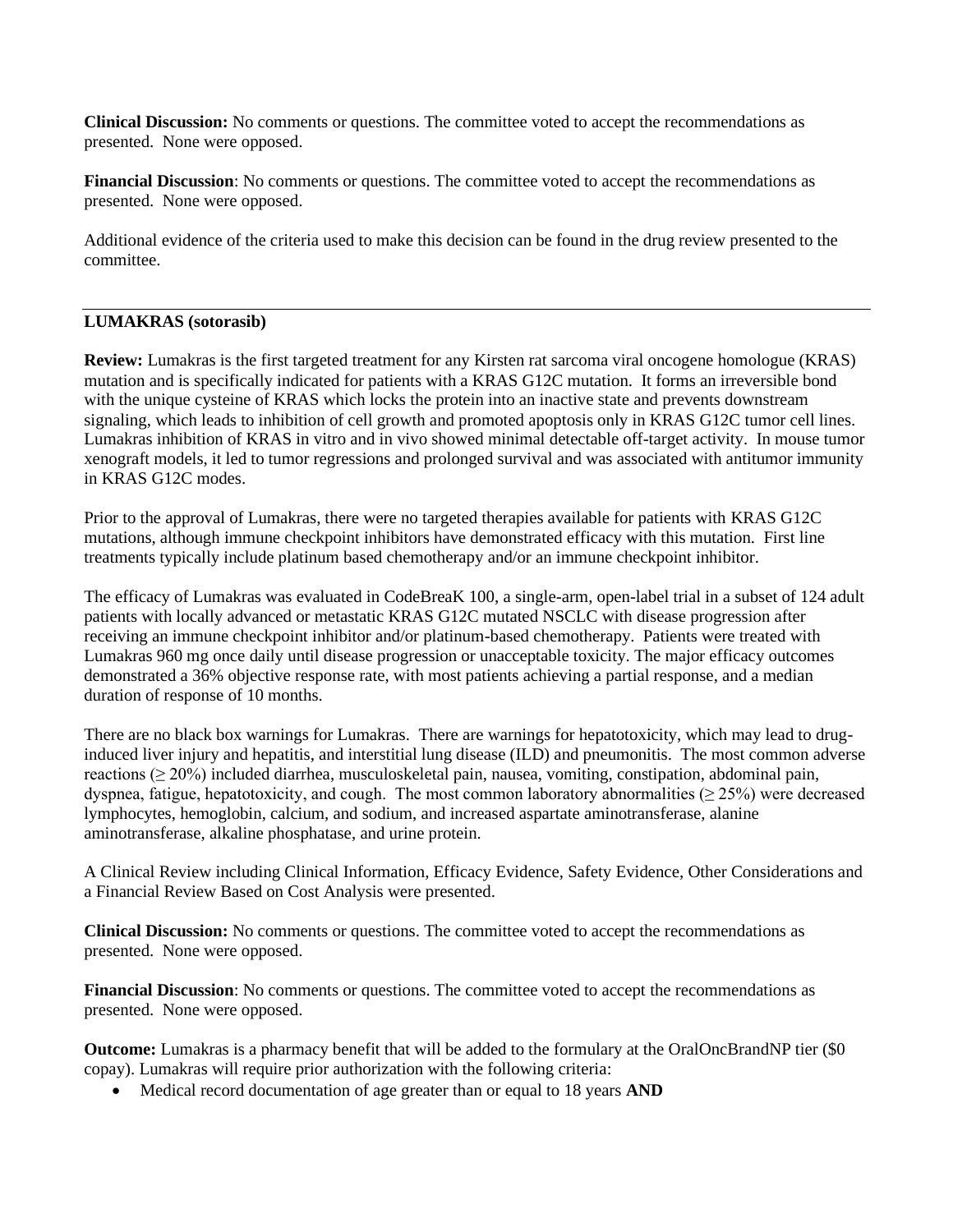**Clinical Discussion:** No comments or questions. The committee voted to accept the recommendations as presented. None were opposed.

**Financial Discussion**: No comments or questions. The committee voted to accept the recommendations as presented. None were opposed.

Additional evidence of the criteria used to make this decision can be found in the drug review presented to the committee.

## **LUMAKRAS (sotorasib)**

**Review:** Lumakras is the first targeted treatment for any Kirsten rat sarcoma viral oncogene homologue (KRAS) mutation and is specifically indicated for patients with a KRAS G12C mutation. It forms an irreversible bond with the unique cysteine of KRAS which locks the protein into an inactive state and prevents downstream signaling, which leads to inhibition of cell growth and promoted apoptosis only in KRAS G12C tumor cell lines. Lumakras inhibition of KRAS in vitro and in vivo showed minimal detectable off-target activity. In mouse tumor xenograft models, it led to tumor regressions and prolonged survival and was associated with antitumor immunity in KRAS G12C modes.

Prior to the approval of Lumakras, there were no targeted therapies available for patients with KRAS G12C mutations, although immune checkpoint inhibitors have demonstrated efficacy with this mutation. First line treatments typically include platinum based chemotherapy and/or an immune checkpoint inhibitor.

The efficacy of Lumakras was evaluated in CodeBreaK 100, a single-arm, open-label trial in a subset of 124 adult patients with locally advanced or metastatic KRAS G12C mutated NSCLC with disease progression after receiving an immune checkpoint inhibitor and/or platinum-based chemotherapy. Patients were treated with Lumakras 960 mg once daily until disease progression or unacceptable toxicity. The major efficacy outcomes demonstrated a 36% objective response rate, with most patients achieving a partial response, and a median duration of response of 10 months.

There are no black box warnings for Lumakras. There are warnings for hepatotoxicity, which may lead to druginduced liver injury and hepatitis, and interstitial lung disease (ILD) and pneumonitis. The most common adverse reactions (≥ 20%) included diarrhea, musculoskeletal pain, nausea, vomiting, constipation, abdominal pain, dyspnea, fatigue, hepatotoxicity, and cough. The most common laboratory abnormalities ( $\geq$  25%) were decreased lymphocytes, hemoglobin, calcium, and sodium, and increased aspartate aminotransferase, alanine aminotransferase, alkaline phosphatase, and urine protein.

A Clinical Review including Clinical Information, Efficacy Evidence, Safety Evidence, Other Considerations and a Financial Review Based on Cost Analysis were presented.

**Clinical Discussion:** No comments or questions. The committee voted to accept the recommendations as presented. None were opposed.

**Financial Discussion**: No comments or questions. The committee voted to accept the recommendations as presented. None were opposed.

**Outcome:** Lumakras is a pharmacy benefit that will be added to the formulary at the OralOncBrandNP tier (\$0 copay). Lumakras will require prior authorization with the following criteria:

• Medical record documentation of age greater than or equal to 18 years **AND**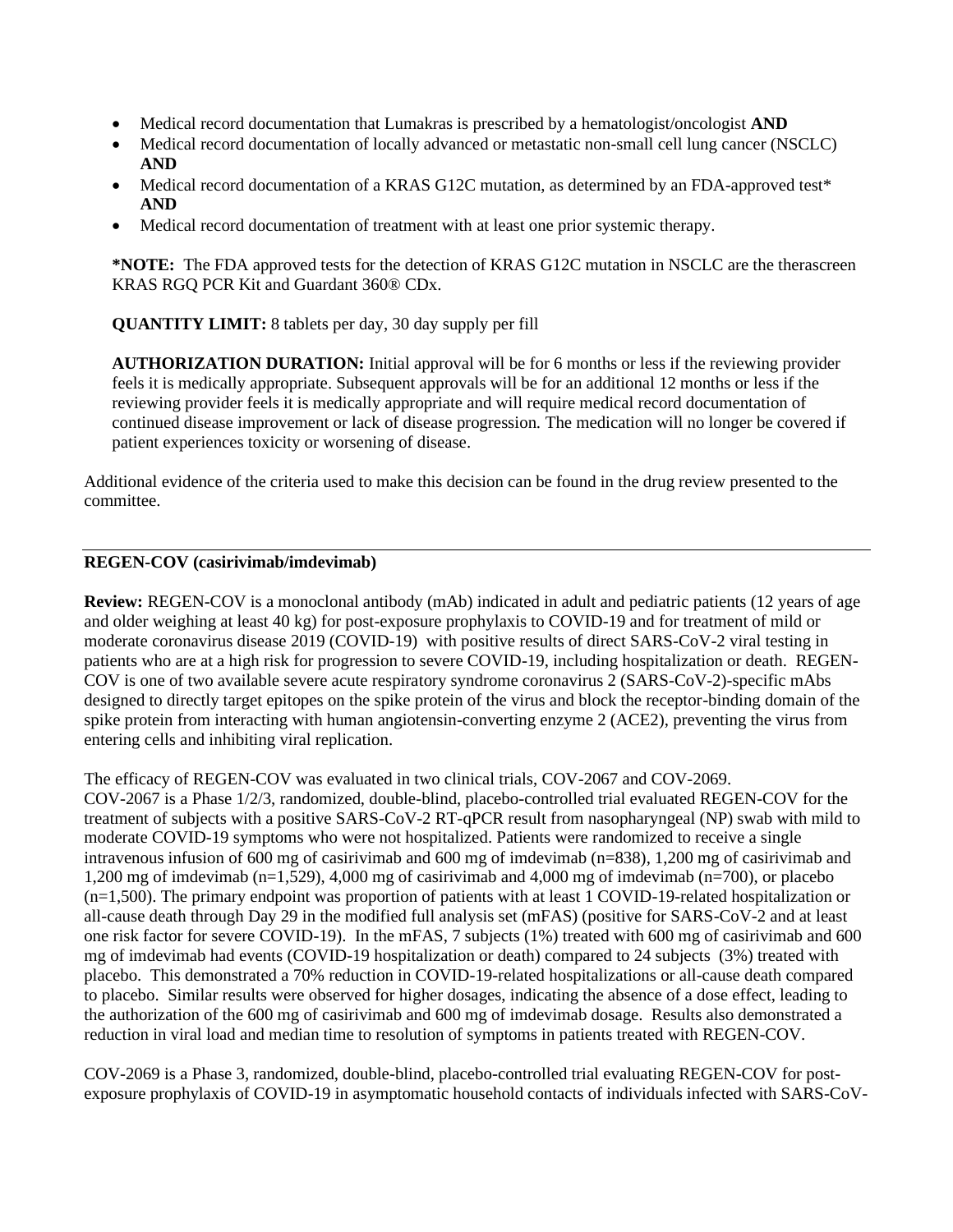- Medical record documentation that Lumakras is prescribed by a hematologist/oncologist **AND**
- Medical record documentation of locally advanced or metastatic non-small cell lung cancer (NSCLC) **AND**
- Medical record documentation of a KRAS G12C mutation, as determined by an FDA-approved test\* **AND**
- Medical record documentation of treatment with at least one prior systemic therapy.

**\*NOTE:** The FDA approved tests for the detection of KRAS G12C mutation in NSCLC are the therascreen KRAS RGQ PCR Kit and Guardant 360® CDx.

**QUANTITY LIMIT:** 8 tablets per day, 30 day supply per fill

**AUTHORIZATION DURATION:** Initial approval will be for 6 months or less if the reviewing provider feels it is medically appropriate. Subsequent approvals will be for an additional 12 months or less if the reviewing provider feels it is medically appropriate and will require medical record documentation of continued disease improvement or lack of disease progression. The medication will no longer be covered if patient experiences toxicity or worsening of disease.

Additional evidence of the criteria used to make this decision can be found in the drug review presented to the committee.

## **REGEN-COV (casirivimab/imdevimab)**

**Review:** REGEN-COV is a monoclonal antibody (mAb) indicated in adult and pediatric patients (12 years of age and older weighing at least 40 kg) for post-exposure prophylaxis to COVID-19 and for treatment of mild or moderate coronavirus disease 2019 (COVID-19) with positive results of direct SARS-CoV-2 viral testing in patients who are at a high risk for progression to severe COVID-19, including hospitalization or death. REGEN-COV is one of two available severe acute respiratory syndrome coronavirus 2 (SARS-CoV-2)-specific mAbs designed to directly target epitopes on the spike protein of the virus and block the receptor-binding domain of the spike protein from interacting with human angiotensin-converting enzyme 2 (ACE2), preventing the virus from entering cells and inhibiting viral replication.

The efficacy of REGEN-COV was evaluated in two clinical trials, COV-2067 and COV-2069. COV-2067 is a Phase 1/2/3, randomized, double-blind, placebo-controlled trial evaluated REGEN-COV for the treatment of subjects with a positive SARS-CoV-2 RT-qPCR result from nasopharyngeal (NP) swab with mild to moderate COVID-19 symptoms who were not hospitalized. Patients were randomized to receive a single intravenous infusion of 600 mg of casirivimab and 600 mg of imdevimab (n=838), 1,200 mg of casirivimab and 1,200 mg of imdevimab (n=1,529), 4,000 mg of casirivimab and 4,000 mg of imdevimab (n=700), or placebo (n=1,500). The primary endpoint was proportion of patients with at least 1 COVID-19-related hospitalization or all-cause death through Day 29 in the modified full analysis set (mFAS) (positive for SARS-CoV-2 and at least one risk factor for severe COVID-19). In the mFAS, 7 subjects (1%) treated with 600 mg of casirivimab and 600 mg of imdevimab had events (COVID-19 hospitalization or death) compared to 24 subjects (3%) treated with placebo. This demonstrated a 70% reduction in COVID-19-related hospitalizations or all-cause death compared to placebo. Similar results were observed for higher dosages, indicating the absence of a dose effect, leading to the authorization of the 600 mg of casirivimab and 600 mg of imdevimab dosage. Results also demonstrated a reduction in viral load and median time to resolution of symptoms in patients treated with REGEN-COV.

COV-2069 is a Phase 3, randomized, double-blind, placebo-controlled trial evaluating REGEN-COV for postexposure prophylaxis of COVID-19 in asymptomatic household contacts of individuals infected with SARS-CoV-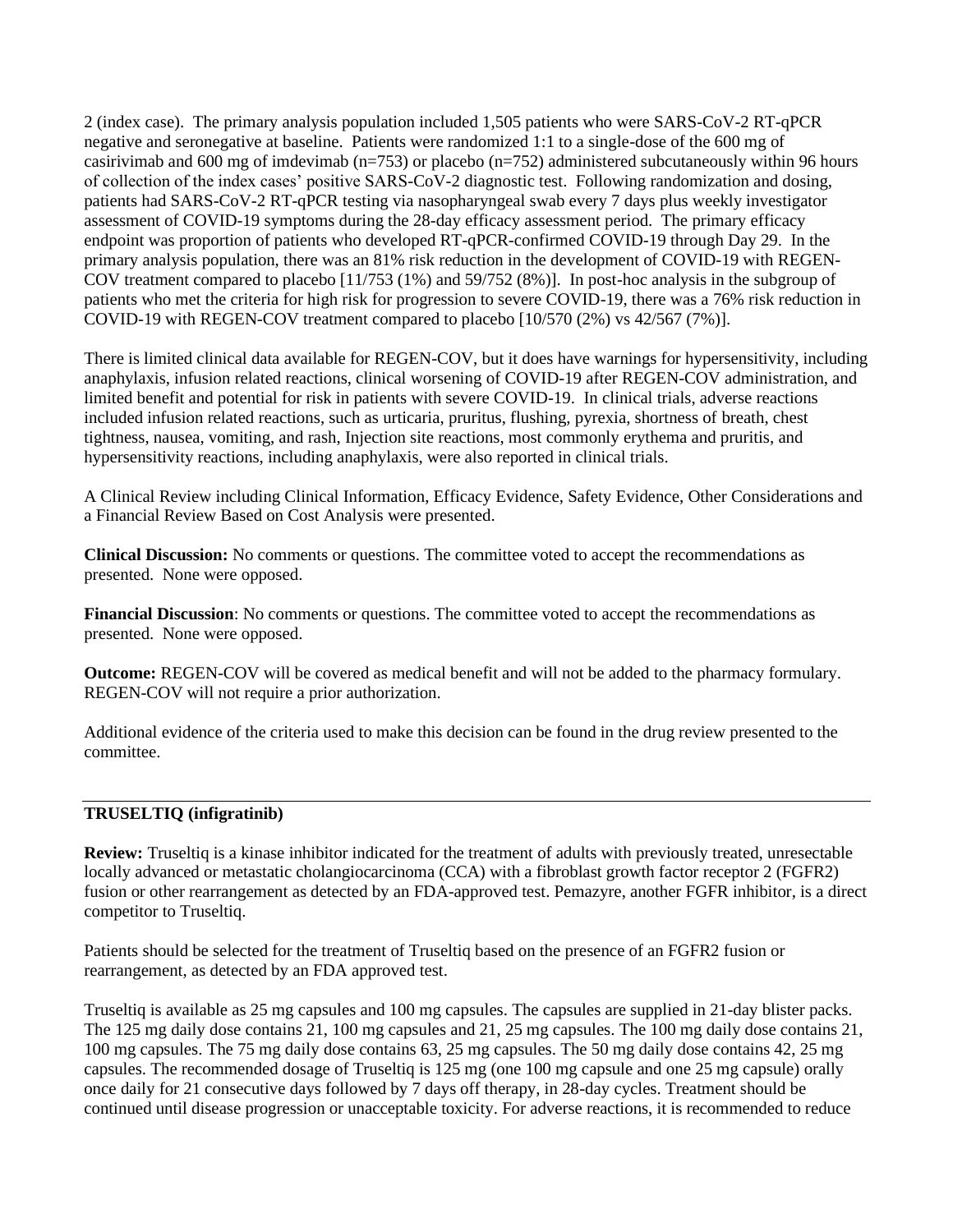2 (index case). The primary analysis population included 1,505 patients who were SARS-CoV-2 RT-qPCR negative and seronegative at baseline. Patients were randomized 1:1 to a single-dose of the 600 mg of casirivimab and 600 mg of imdevimab (n=753) or placebo (n=752) administered subcutaneously within 96 hours of collection of the index cases' positive SARS-CoV-2 diagnostic test. Following randomization and dosing, patients had SARS-CoV-2 RT-qPCR testing via nasopharyngeal swab every 7 days plus weekly investigator assessment of COVID-19 symptoms during the 28-day efficacy assessment period. The primary efficacy endpoint was proportion of patients who developed RT-qPCR-confirmed COVID-19 through Day 29. In the primary analysis population, there was an 81% risk reduction in the development of COVID-19 with REGEN-COV treatment compared to placebo [11/753 (1%) and 59/752 (8%)]. In post-hoc analysis in the subgroup of patients who met the criteria for high risk for progression to severe COVID-19, there was a 76% risk reduction in COVID-19 with REGEN-COV treatment compared to placebo [10/570 (2%) vs 42/567 (7%)].

There is limited clinical data available for REGEN-COV, but it does have warnings for hypersensitivity, including anaphylaxis, infusion related reactions, clinical worsening of COVID-19 after REGEN-COV administration, and limited benefit and potential for risk in patients with severe COVID-19. In clinical trials, adverse reactions included infusion related reactions, such as urticaria, pruritus, flushing, pyrexia, shortness of breath, chest tightness, nausea, vomiting, and rash, Injection site reactions, most commonly erythema and pruritis, and hypersensitivity reactions, including anaphylaxis, were also reported in clinical trials.

A Clinical Review including Clinical Information, Efficacy Evidence, Safety Evidence, Other Considerations and a Financial Review Based on Cost Analysis were presented.

**Clinical Discussion:** No comments or questions. The committee voted to accept the recommendations as presented. None were opposed.

**Financial Discussion**: No comments or questions. The committee voted to accept the recommendations as presented. None were opposed.

**Outcome:** REGEN-COV will be covered as medical benefit and will not be added to the pharmacy formulary. REGEN-COV will not require a prior authorization.

Additional evidence of the criteria used to make this decision can be found in the drug review presented to the committee.

## **TRUSELTIQ (infigratinib)**

**Review:** Truseltiq is a kinase inhibitor indicated for the treatment of adults with previously treated, unresectable locally advanced or metastatic cholangiocarcinoma (CCA) with a fibroblast growth factor receptor 2 (FGFR2) fusion or other rearrangement as detected by an FDA-approved test. Pemazyre, another FGFR inhibitor, is a direct competitor to Truseltiq.

Patients should be selected for the treatment of Truseltiq based on the presence of an FGFR2 fusion or rearrangement, as detected by an FDA approved test.

Truseltiq is available as 25 mg capsules and 100 mg capsules. The capsules are supplied in 21-day blister packs. The 125 mg daily dose contains 21, 100 mg capsules and 21, 25 mg capsules. The 100 mg daily dose contains 21, 100 mg capsules. The 75 mg daily dose contains 63, 25 mg capsules. The 50 mg daily dose contains 42, 25 mg capsules. The recommended dosage of Truseltiq is 125 mg (one 100 mg capsule and one 25 mg capsule) orally once daily for 21 consecutive days followed by 7 days off therapy, in 28-day cycles. Treatment should be continued until disease progression or unacceptable toxicity. For adverse reactions, it is recommended to reduce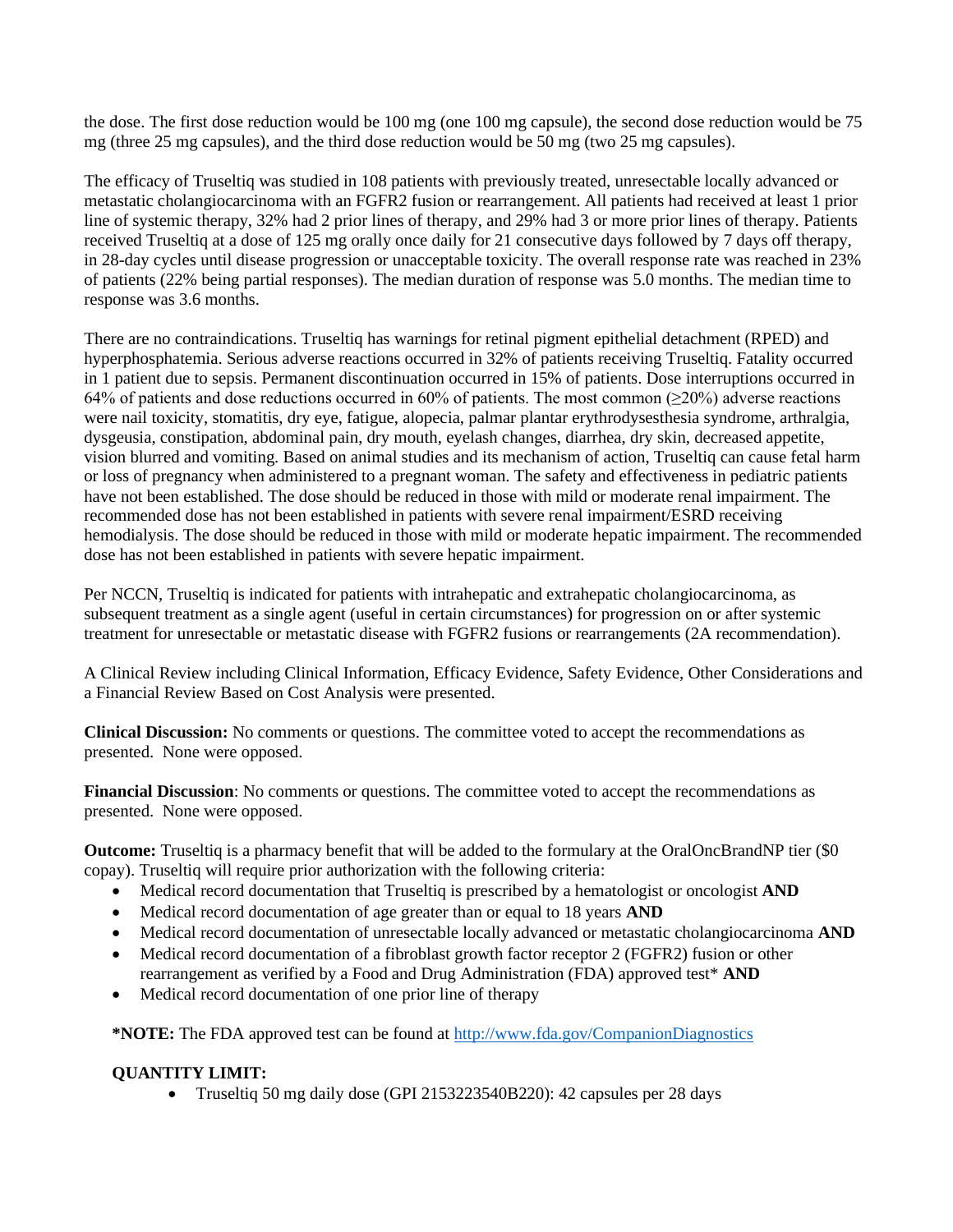the dose. The first dose reduction would be 100 mg (one 100 mg capsule), the second dose reduction would be 75 mg (three 25 mg capsules), and the third dose reduction would be 50 mg (two 25 mg capsules).

The efficacy of Truseltiq was studied in 108 patients with previously treated, unresectable locally advanced or metastatic cholangiocarcinoma with an FGFR2 fusion or rearrangement. All patients had received at least 1 prior line of systemic therapy, 32% had 2 prior lines of therapy, and 29% had 3 or more prior lines of therapy. Patients received Truseltiq at a dose of 125 mg orally once daily for 21 consecutive days followed by 7 days off therapy, in 28-day cycles until disease progression or unacceptable toxicity. The overall response rate was reached in 23% of patients (22% being partial responses). The median duration of response was 5.0 months. The median time to response was 3.6 months.

There are no contraindications. Truseltiq has warnings for retinal pigment epithelial detachment (RPED) and hyperphosphatemia. Serious adverse reactions occurred in 32% of patients receiving Truseltiq. Fatality occurred in 1 patient due to sepsis. Permanent discontinuation occurred in 15% of patients. Dose interruptions occurred in 64% of patients and dose reductions occurred in 60% of patients. The most common ( $\geq$ 20%) adverse reactions were nail toxicity, stomatitis, dry eye, fatigue, alopecia, palmar plantar erythrodysesthesia syndrome, arthralgia, dysgeusia, constipation, abdominal pain, dry mouth, eyelash changes, diarrhea, dry skin, decreased appetite, vision blurred and vomiting. Based on animal studies and its mechanism of action, Truseltiq can cause fetal harm or loss of pregnancy when administered to a pregnant woman. The safety and effectiveness in pediatric patients have not been established. The dose should be reduced in those with mild or moderate renal impairment. The recommended dose has not been established in patients with severe renal impairment/ESRD receiving hemodialysis. The dose should be reduced in those with mild or moderate hepatic impairment. The recommended dose has not been established in patients with severe hepatic impairment.

Per NCCN, Truseltiq is indicated for patients with intrahepatic and extrahepatic cholangiocarcinoma, as subsequent treatment as a single agent (useful in certain circumstances) for progression on or after systemic treatment for unresectable or metastatic disease with FGFR2 fusions or rearrangements (2A recommendation).

A Clinical Review including Clinical Information, Efficacy Evidence, Safety Evidence, Other Considerations and a Financial Review Based on Cost Analysis were presented.

**Clinical Discussion:** No comments or questions. The committee voted to accept the recommendations as presented. None were opposed.

**Financial Discussion**: No comments or questions. The committee voted to accept the recommendations as presented. None were opposed.

**Outcome:** Truseltiq is a pharmacy benefit that will be added to the formulary at the OralOncBrandNP tier (\$0 copay). Truseltiq will require prior authorization with the following criteria:

- Medical record documentation that Truseltiq is prescribed by a hematologist or oncologist **AND**
- Medical record documentation of age greater than or equal to 18 years **AND**
- Medical record documentation of unresectable locally advanced or metastatic cholangiocarcinoma **AND**
- Medical record documentation of a fibroblast growth factor receptor 2 (FGFR2) fusion or other rearrangement as verified by a Food and Drug Administration (FDA) approved test\* **AND**
- Medical record documentation of one prior line of therapy

**\*NOTE:** The FDA approved test can be found at<http://www.fda.gov/CompanionDiagnostics>

# **QUANTITY LIMIT:**

• Truseltiq 50 mg daily dose (GPI 2153223540B220): 42 capsules per 28 days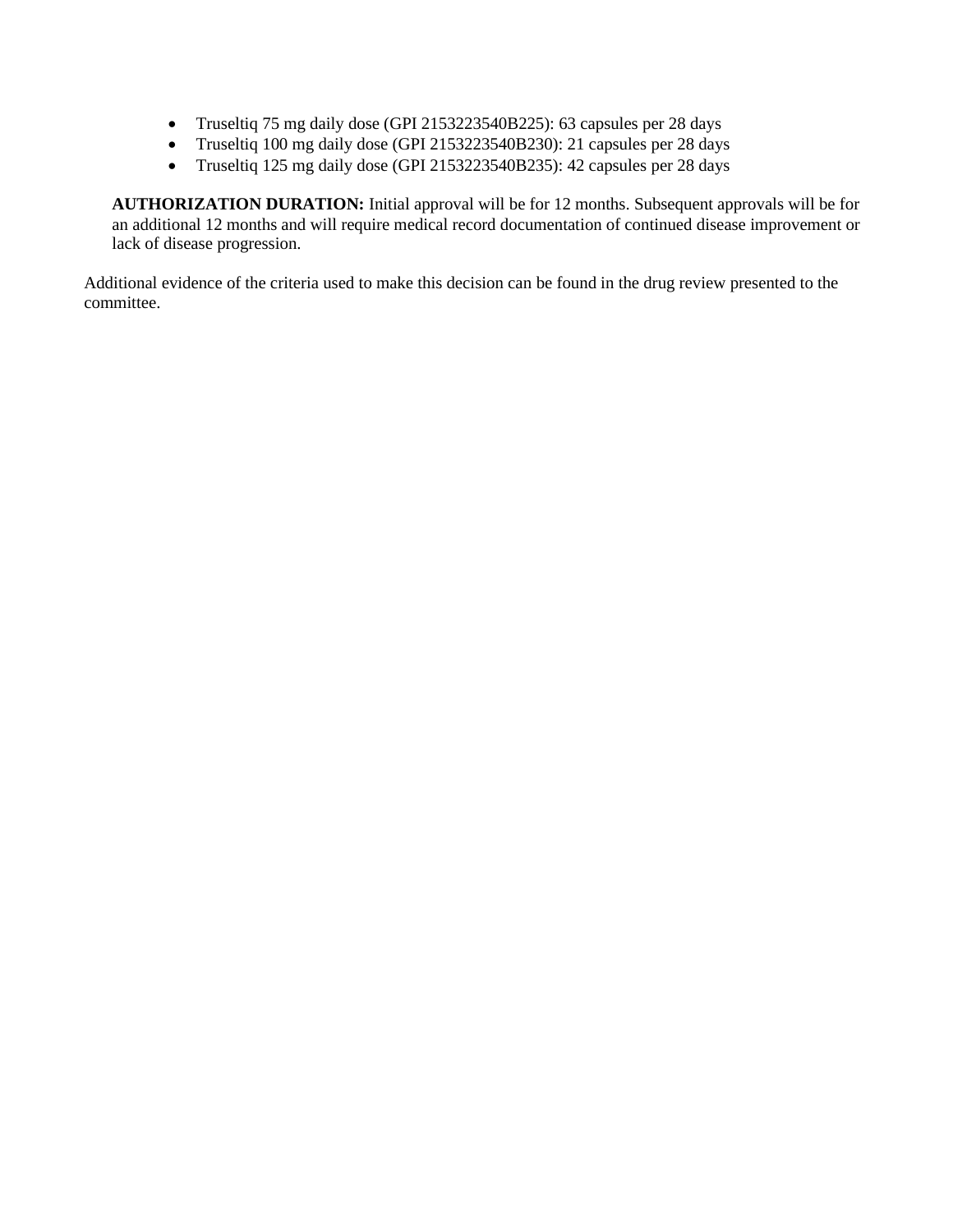- Truseltiq 75 mg daily dose (GPI 2153223540B225): 63 capsules per 28 days
- Truseltiq 100 mg daily dose (GPI 2153223540B230): 21 capsules per 28 days
- Truseltiq 125 mg daily dose (GPI 2153223540B235): 42 capsules per 28 days

**AUTHORIZATION DURATION:** Initial approval will be for 12 months. Subsequent approvals will be for an additional 12 months and will require medical record documentation of continued disease improvement or lack of disease progression.

Additional evidence of the criteria used to make this decision can be found in the drug review presented to the committee.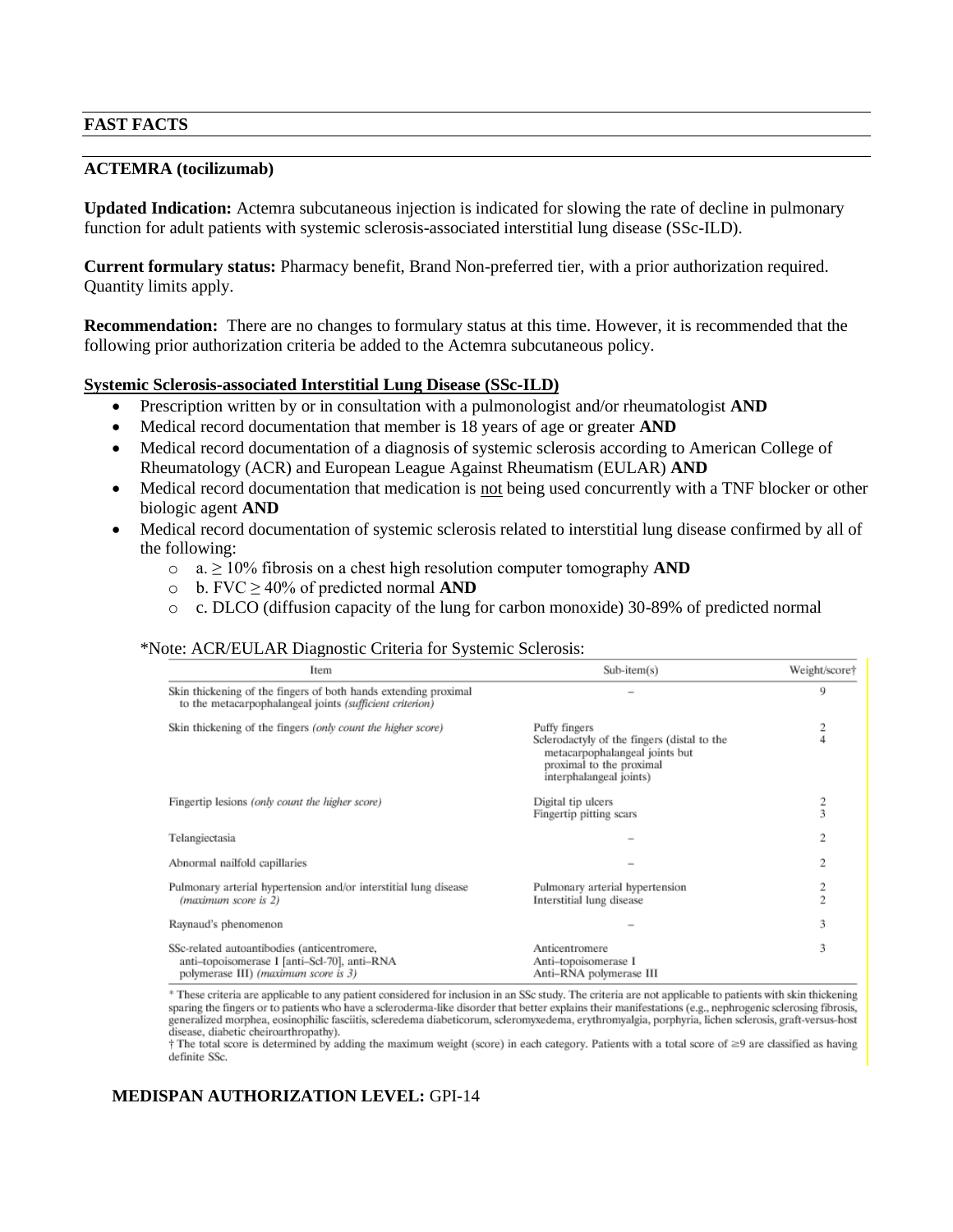## **FAST FACTS**

#### **ACTEMRA (tocilizumab)**

**Updated Indication:** Actemra subcutaneous injection is indicated for slowing the rate of decline in pulmonary function for adult patients with systemic sclerosis-associated interstitial lung disease (SSc-ILD).

**Current formulary status:** Pharmacy benefit, Brand Non-preferred tier, with a prior authorization required. Quantity limits apply.

**Recommendation:** There are no changes to formulary status at this time. However, it is recommended that the following prior authorization criteria be added to the Actemra subcutaneous policy.

### **Systemic Sclerosis-associated Interstitial Lung Disease (SSc-ILD)**

- Prescription written by or in consultation with a pulmonologist and/or rheumatologist **AND**
- Medical record documentation that member is 18 years of age or greater **AND**
- Medical record documentation of a diagnosis of systemic sclerosis according to American College of Rheumatology (ACR) and European League Against Rheumatism (EULAR) **AND**
- Medical record documentation that medication is not being used concurrently with a TNF blocker or other biologic agent **AND**
- Medical record documentation of systemic sclerosis related to interstitial lung disease confirmed by all of the following:
	- o a. ≥ 10% fibrosis on a chest high resolution computer tomography **AND**
	- o b. FVC ≥ 40% of predicted normal **AND**
	- o c. DLCO (diffusion capacity of the lung for carbon monoxide) 30-89% of predicted normal

#### \*Note: ACR/EULAR Diagnostic Criteria for Systemic Sclerosis:

| Item                                                                                                                                | $Sub-item(s)$                                                                                                                                         | Weight/score† |
|-------------------------------------------------------------------------------------------------------------------------------------|-------------------------------------------------------------------------------------------------------------------------------------------------------|---------------|
| Skin thickening of the fingers of both hands extending proximal<br>to the metacarpophalangeal joints (sufficient criterion)         |                                                                                                                                                       | 9             |
| Skin thickening of the fingers (only count the higher score)                                                                        | Puffy fingers<br>Sclerodactyly of the fingers (distal to the<br>metacarpophalangeal joints but<br>proximal to the proximal<br>interphalangeal joints) |               |
| Fingertip lesions (only count the higher score)                                                                                     | Digital tip ulcers<br>Fingertip pitting scars                                                                                                         | 2<br>3        |
| Telangiectasia                                                                                                                      |                                                                                                                                                       | 2             |
| Abnormal nailfold capillaries                                                                                                       |                                                                                                                                                       | 2             |
| Pulmonary arterial hypertension and/or interstitial lung disease<br>(maximum score is 2)                                            | Pulmonary arterial hypertension<br>Interstitial lung disease                                                                                          | Õ.            |
| Raynaud's phenomenon                                                                                                                |                                                                                                                                                       | 3             |
| SSc-related autoantibodies (anticentromere,<br>anti-topoisomerase I [anti-Scl-70], anti-RNA<br>polymerase III) (maximum score is 3) | Anticentromere<br>Anti-topoisomerase I<br>Anti-RNA polymerase III                                                                                     | 3             |

\* These criteria are applicable to any patient considered for inclusion in an SSc study. The criteria are not applicable to patients with skin thickening sparing the fingers or to patients who have a scleroderma-like disorder that better explains their manifestations (e.g., nephrogenic sclerosing fibrosis, generalized morphea, eosinophilic fasciitis, scleredema diabeticorum, scleromyxedema, erythromyalgia, porphyria, lichen sclerosis, graft-versus-host generalized morphea, eosinophilic fasciitis, scleredema diabeticorum, scl disease, diabetic cheiroarthropathy).

 $\dagger$  The total score is determined by adding the maximum weight (score) in each category. Patients with a total score of  $\geq 9$  are classified as having definite SSc.

# **MEDISPAN AUTHORIZATION LEVEL:** GPI-14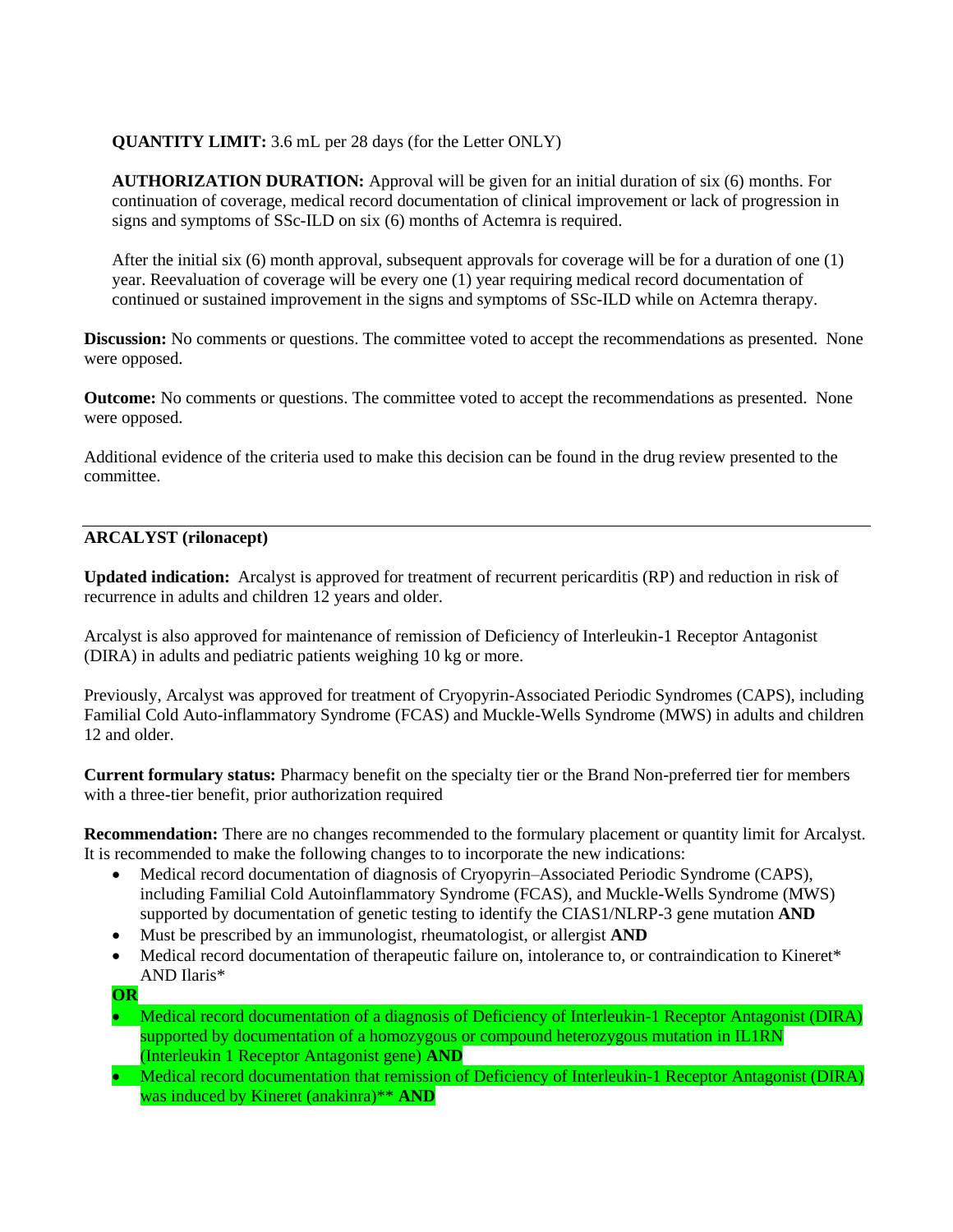# **QUANTITY LIMIT:** 3.6 mL per 28 days (for the Letter ONLY)

**AUTHORIZATION DURATION:** Approval will be given for an initial duration of six (6) months. For continuation of coverage, medical record documentation of clinical improvement or lack of progression in signs and symptoms of SSc-ILD on six (6) months of Actemra is required.

After the initial six (6) month approval, subsequent approvals for coverage will be for a duration of one (1) year. Reevaluation of coverage will be every one (1) year requiring medical record documentation of continued or sustained improvement in the signs and symptoms of SSc-ILD while on Actemra therapy.

**Discussion:** No comments or questions. The committee voted to accept the recommendations as presented. None were opposed.

**Outcome:** No comments or questions. The committee voted to accept the recommendations as presented. None were opposed.

Additional evidence of the criteria used to make this decision can be found in the drug review presented to the committee.

# **ARCALYST (rilonacept)**

**Updated indication:** Arcalyst is approved for treatment of recurrent pericarditis (RP) and reduction in risk of recurrence in adults and children 12 years and older.

Arcalyst is also approved for maintenance of remission of Deficiency of Interleukin-1 Receptor Antagonist (DIRA) in adults and pediatric patients weighing 10 kg or more.

Previously, Arcalyst was approved for treatment of Cryopyrin-Associated Periodic Syndromes (CAPS), including Familial Cold Auto-inflammatory Syndrome (FCAS) and Muckle-Wells Syndrome (MWS) in adults and children 12 and older.

**Current formulary status:** Pharmacy benefit on the specialty tier or the Brand Non-preferred tier for members with a three-tier benefit, prior authorization required

**Recommendation:** There are no changes recommended to the formulary placement or quantity limit for Arcalyst. It is recommended to make the following changes to to incorporate the new indications:

- Medical record documentation of diagnosis of Cryopyrin–Associated Periodic Syndrome (CAPS), including Familial Cold Autoinflammatory Syndrome (FCAS), and Muckle-Wells Syndrome (MWS) supported by documentation of genetic testing to identify the CIAS1/NLRP-3 gene mutation **AND**
- Must be prescribed by an immunologist, rheumatologist, or allergist **AND**
- Medical record documentation of therapeutic failure on, intolerance to, or contraindication to Kineret\* AND Ilaris\*
- **OR**
- Medical record documentation of a diagnosis of Deficiency of Interleukin-1 Receptor Antagonist (DIRA) supported by documentation of a homozygous or compound heterozygous mutation in IL1RN (Interleukin 1 Receptor Antagonist gene) **AND**
- Medical record documentation that remission of Deficiency of Interleukin-1 Receptor Antagonist (DIRA) was induced by Kineret (anakinra)\*\* **AND**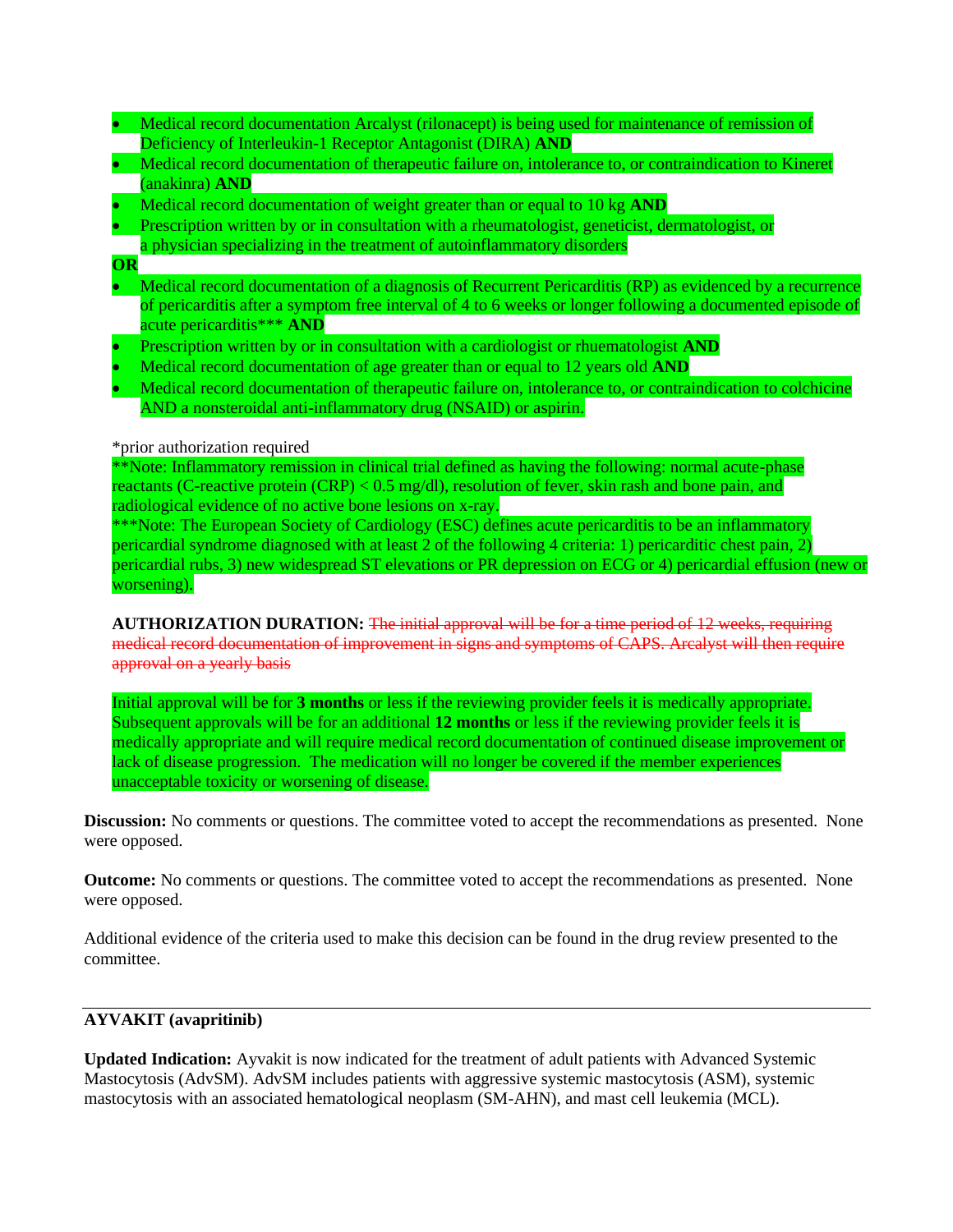- Medical record documentation Arcalyst (rilonacept) is being used for maintenance of remission of Deficiency of Interleukin-1 Receptor Antagonist (DIRA) **AND**
- Medical record documentation of therapeutic failure on, intolerance to, or contraindication to Kineret (anakinra) **AND**
- Medical record documentation of weight greater than or equal to 10 kg **AND**
- Prescription written by or in consultation with a rheumatologist, geneticist, dermatologist, or
- a physician specializing in the treatment of autoinflammatory disorders
- **OR**
- Medical record documentation of a diagnosis of Recurrent Pericarditis (RP) as evidenced by a recurrence of pericarditis after a symptom free interval of 4 to 6 weeks or longer following a documented episode of acute pericarditis\*\*\* **AND**
- Prescription written by or in consultation with a cardiologist or rhuematologist **AND**
- Medical record documentation of age greater than or equal to 12 years old **AND**
- Medical record documentation of therapeutic failure on, intolerance to, or contraindication to colchicine AND a nonsteroidal anti-inflammatory drug (NSAID) or aspirin.

### \*prior authorization required

\*\*Note: Inflammatory remission in clinical trial defined as having the following: normal acute-phase reactants (C-reactive protein (CRP) < 0.5 mg/dl), resolution of fever, skin rash and bone pain, and radiological evidence of no active bone lesions on x-ray.

\*\*\*Note: The European Society of Cardiology (ESC) defines acute pericarditis to be an inflammatory pericardial syndrome diagnosed with at least 2 of the following 4 criteria: 1) pericarditic chest pain, 2) pericardial rubs, 3) new widespread ST elevations or PR depression on ECG or 4) pericardial effusion (new or worsening).

**AUTHORIZATION DURATION:** The initial approval will be for a time period of 12 weeks, requiring medical record documentation of improvement in signs and symptoms of CAPS. Arcalyst will then require approval on a yearly basis

Initial approval will be for **3 months** or less if the reviewing provider feels it is medically appropriate. Subsequent approvals will be for an additional **12 months** or less if the reviewing provider feels it is medically appropriate and will require medical record documentation of continued disease improvement or lack of disease progression. The medication will no longer be covered if the member experiences unacceptable toxicity or worsening of disease.

**Discussion:** No comments or questions. The committee voted to accept the recommendations as presented. None were opposed.

**Outcome:** No comments or questions. The committee voted to accept the recommendations as presented. None were opposed.

Additional evidence of the criteria used to make this decision can be found in the drug review presented to the committee.

# **AYVAKIT (avapritinib)**

**Updated Indication:** Ayvakit is now indicated for the treatment of adult patients with Advanced Systemic Mastocytosis (AdvSM). AdvSM includes patients with aggressive systemic mastocytosis (ASM), systemic mastocytosis with an associated hematological neoplasm (SM-AHN), and mast cell leukemia (MCL).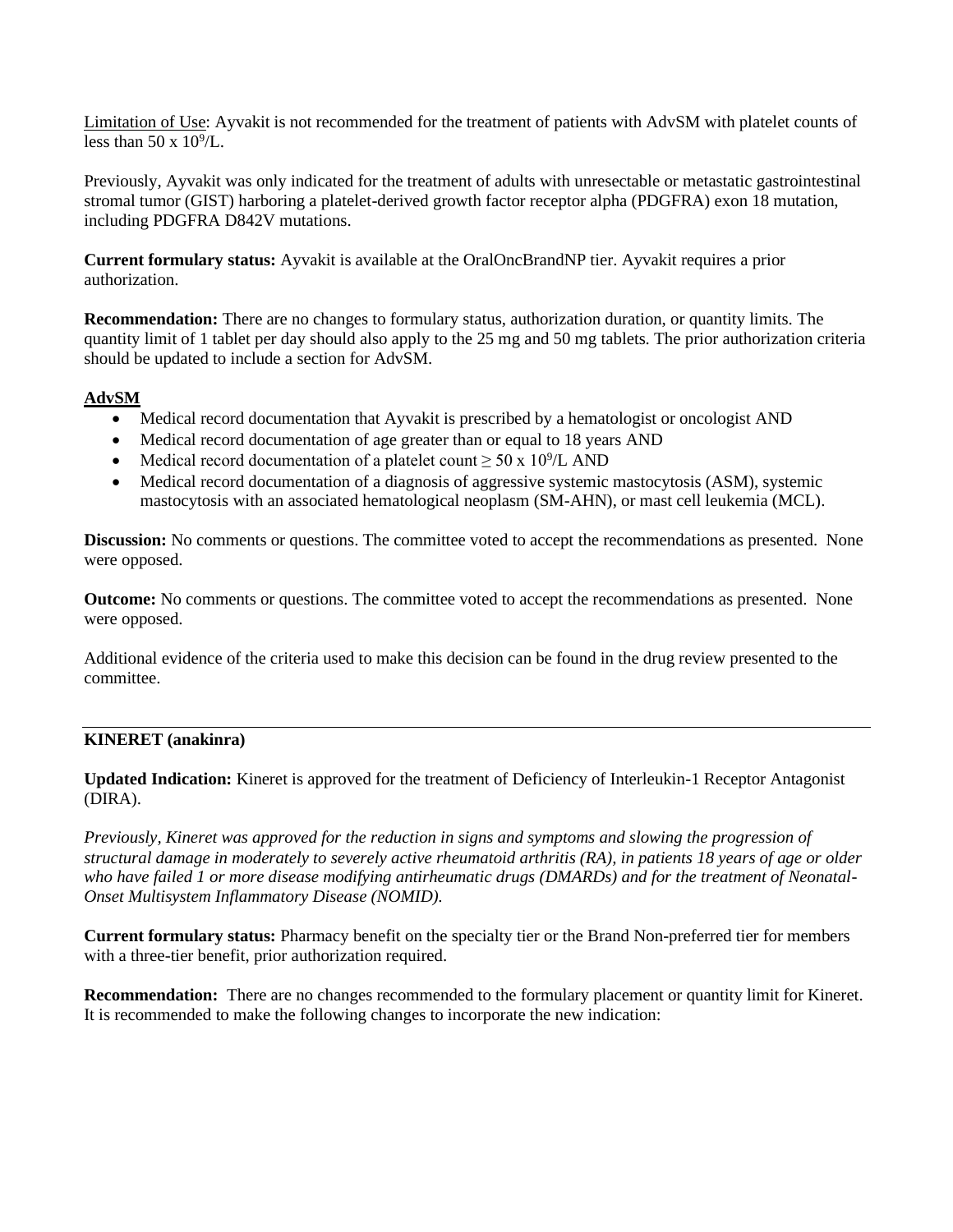Limitation of Use: Ayvakit is not recommended for the treatment of patients with AdvSM with platelet counts of less than  $50 \times 10^9$ /L.

Previously, Ayvakit was only indicated for the treatment of adults with unresectable or metastatic gastrointestinal stromal tumor (GIST) harboring a platelet-derived growth factor receptor alpha (PDGFRA) exon 18 mutation, including PDGFRA D842V mutations.

**Current formulary status:** Ayvakit is available at the OralOncBrandNP tier. Ayvakit requires a prior authorization.

**Recommendation:** There are no changes to formulary status, authorization duration, or quantity limits. The quantity limit of 1 tablet per day should also apply to the 25 mg and 50 mg tablets. The prior authorization criteria should be updated to include a section for AdvSM.

# **AdvSM**

- Medical record documentation that Ayvakit is prescribed by a hematologist or oncologist AND
- Medical record documentation of age greater than or equal to 18 years AND
- Medical record documentation of a platelet count  $\geq 50 \times 10^9$ /L AND
- Medical record documentation of a diagnosis of aggressive systemic mastocytosis (ASM), systemic mastocytosis with an associated hematological neoplasm (SM-AHN), or mast cell leukemia (MCL).

**Discussion:** No comments or questions. The committee voted to accept the recommendations as presented. None were opposed.

**Outcome:** No comments or questions. The committee voted to accept the recommendations as presented. None were opposed.

Additional evidence of the criteria used to make this decision can be found in the drug review presented to the committee.

# **KINERET (anakinra)**

**Updated Indication:** Kineret is approved for the treatment of Deficiency of Interleukin-1 Receptor Antagonist (DIRA).

*Previously, Kineret was approved for the reduction in signs and symptoms and slowing the progression of structural damage in moderately to severely active rheumatoid arthritis (RA), in patients 18 years of age or older who have failed 1 or more disease modifying antirheumatic drugs (DMARDs) and for the treatment of Neonatal-Onset Multisystem Inflammatory Disease (NOMID).* 

**Current formulary status:** Pharmacy benefit on the specialty tier or the Brand Non-preferred tier for members with a three-tier benefit, prior authorization required.

**Recommendation:** There are no changes recommended to the formulary placement or quantity limit for Kineret. It is recommended to make the following changes to incorporate the new indication: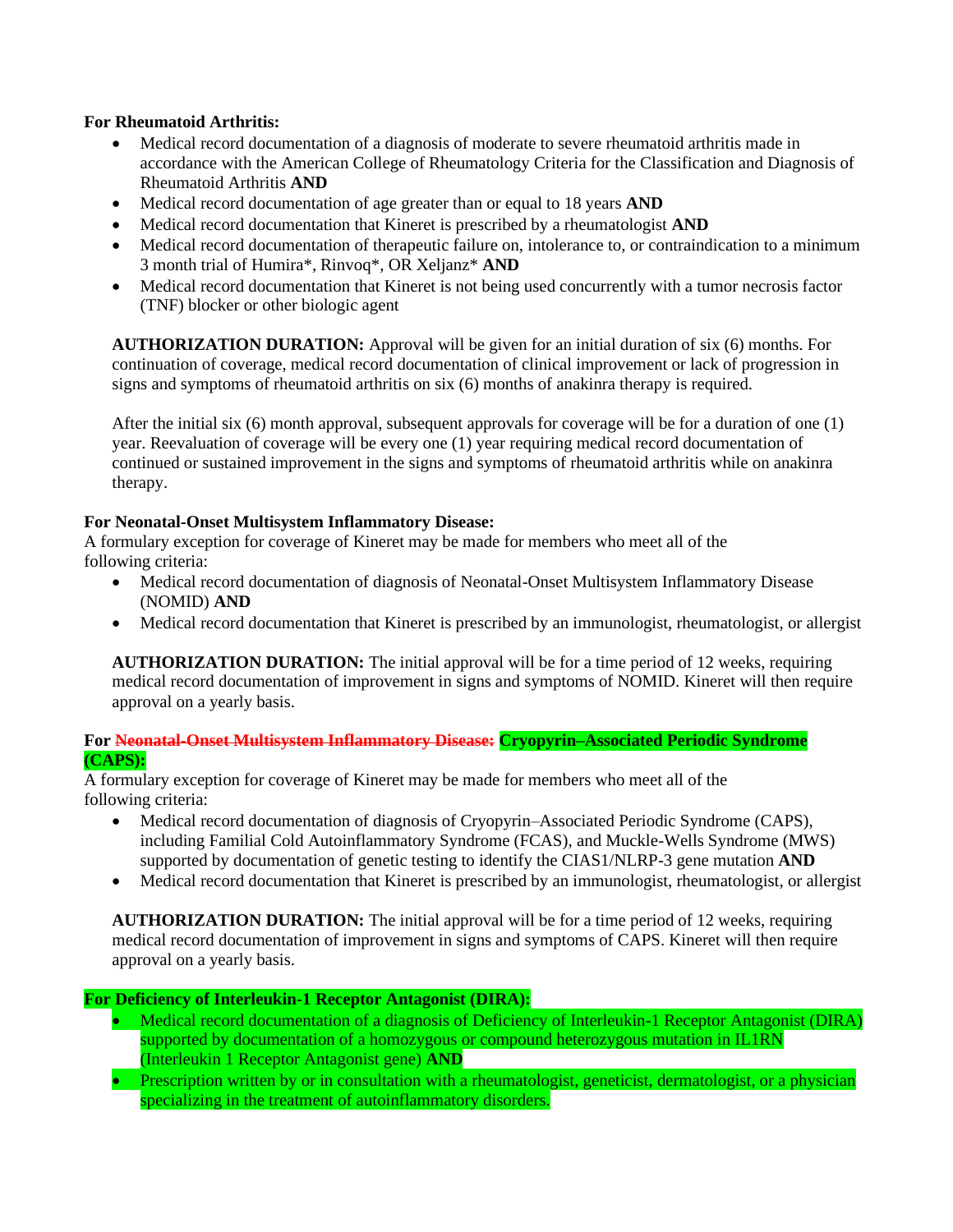# **For Rheumatoid Arthritis:**

- Medical record documentation of a diagnosis of moderate to severe rheumatoid arthritis made in accordance with the American College of Rheumatology Criteria for the Classification and Diagnosis of Rheumatoid Arthritis **AND**
- Medical record documentation of age greater than or equal to 18 years **AND**
- Medical record documentation that Kineret is prescribed by a rheumatologist **AND**
- Medical record documentation of therapeutic failure on, intolerance to, or contraindication to a minimum 3 month trial of Humira\*, Rinvoq\*, OR Xeljanz\* **AND**
- Medical record documentation that Kineret is not being used concurrently with a tumor necrosis factor (TNF) blocker or other biologic agent

**AUTHORIZATION DURATION:** Approval will be given for an initial duration of six (6) months. For continuation of coverage, medical record documentation of clinical improvement or lack of progression in signs and symptoms of rheumatoid arthritis on six (6) months of anakinra therapy is required.

After the initial six (6) month approval, subsequent approvals for coverage will be for a duration of one (1) year. Reevaluation of coverage will be every one (1) year requiring medical record documentation of continued or sustained improvement in the signs and symptoms of rheumatoid arthritis while on anakinra therapy.

# **For Neonatal-Onset Multisystem Inflammatory Disease:**

A formulary exception for coverage of Kineret may be made for members who meet all of the following criteria:

- Medical record documentation of diagnosis of Neonatal-Onset Multisystem Inflammatory Disease (NOMID) **AND**
- Medical record documentation that Kineret is prescribed by an immunologist, rheumatologist, or allergist

**AUTHORIZATION DURATION:** The initial approval will be for a time period of 12 weeks, requiring medical record documentation of improvement in signs and symptoms of NOMID. Kineret will then require approval on a yearly basis.

# **For Neonatal-Onset Multisystem Inflammatory Disease: Cryopyrin–Associated Periodic Syndrome (CAPS):**

A formulary exception for coverage of Kineret may be made for members who meet all of the following criteria:

- Medical record documentation of diagnosis of Cryopyrin–Associated Periodic Syndrome (CAPS), including Familial Cold Autoinflammatory Syndrome (FCAS), and Muckle-Wells Syndrome (MWS) supported by documentation of genetic testing to identify the CIAS1/NLRP-3 gene mutation **AND**
- Medical record documentation that Kineret is prescribed by an immunologist, rheumatologist, or allergist

**AUTHORIZATION DURATION:** The initial approval will be for a time period of 12 weeks, requiring medical record documentation of improvement in signs and symptoms of CAPS. Kineret will then require approval on a yearly basis.

## **For Deficiency of Interleukin-1 Receptor Antagonist (DIRA):**

- Medical record documentation of a diagnosis of Deficiency of Interleukin-1 Receptor Antagonist (DIRA) supported by documentation of a homozygous or compound heterozygous mutation in IL1RN (Interleukin 1 Receptor Antagonist gene) **AND**
- Prescription written by or in consultation with a rheumatologist, geneticist, dermatologist, or a physician specializing in the treatment of autoinflammatory disorders.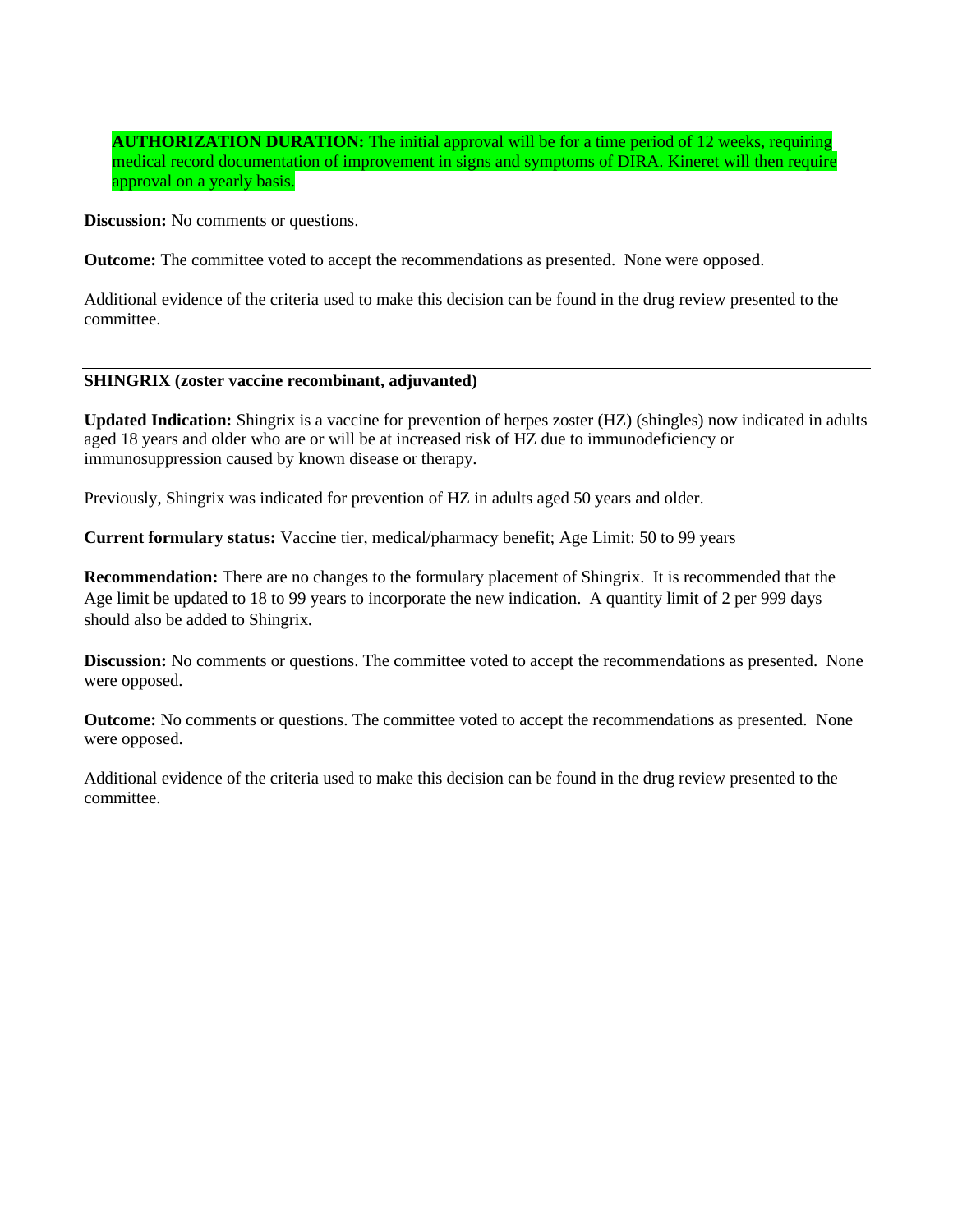# **AUTHORIZATION DURATION:** The initial approval will be for a time period of 12 weeks, requiring medical record documentation of improvement in signs and symptoms of DIRA. Kineret will then require approval on a yearly basis.

**Discussion:** No comments or questions.

**Outcome:** The committee voted to accept the recommendations as presented. None were opposed.

Additional evidence of the criteria used to make this decision can be found in the drug review presented to the committee.

### **SHINGRIX (zoster vaccine recombinant, adjuvanted)**

**Updated Indication:** Shingrix is a vaccine for prevention of herpes zoster (HZ) (shingles) now indicated in adults aged 18 years and older who are or will be at increased risk of HZ due to immunodeficiency or immunosuppression caused by known disease or therapy.

Previously, Shingrix was indicated for prevention of HZ in adults aged 50 years and older.

**Current formulary status:** Vaccine tier, medical/pharmacy benefit; Age Limit: 50 to 99 years

**Recommendation:** There are no changes to the formulary placement of Shingrix. It is recommended that the Age limit be updated to 18 to 99 years to incorporate the new indication. A quantity limit of 2 per 999 days should also be added to Shingrix.

**Discussion:** No comments or questions. The committee voted to accept the recommendations as presented. None were opposed.

**Outcome:** No comments or questions. The committee voted to accept the recommendations as presented. None were opposed.

Additional evidence of the criteria used to make this decision can be found in the drug review presented to the committee.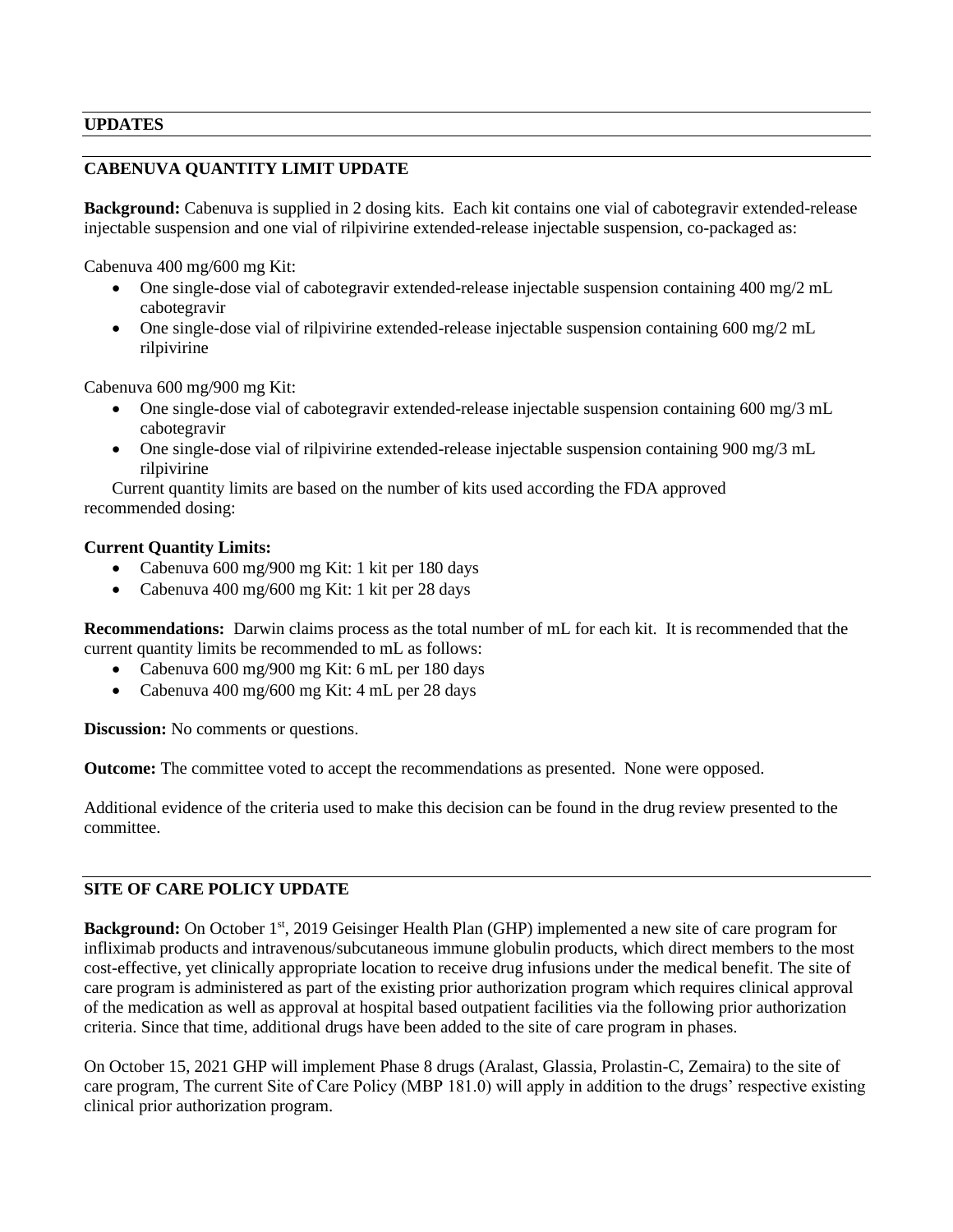# **UPDATES**

# **CABENUVA QUANTITY LIMIT UPDATE**

**Background:** Cabenuva is supplied in 2 dosing kits. Each kit contains one vial of cabotegravir extended-release injectable suspension and one vial of rilpivirine extended-release injectable suspension, co-packaged as:

Cabenuva 400 mg/600 mg Kit:

- One single-dose vial of cabotegravir extended-release injectable suspension containing 400 mg/2 mL cabotegravir
- One single-dose vial of rilpivirine extended-release injectable suspension containing  $600 \text{ mg}/2 \text{ mL}$ rilpivirine

Cabenuva 600 mg/900 mg Kit:

- One single-dose vial of cabotegravir extended-release injectable suspension containing 600 mg/3 mL cabotegravir
- One single-dose vial of rilpivirine extended-release injectable suspension containing 900 mg/3 mL rilpivirine

Current quantity limits are based on the number of kits used according the FDA approved recommended dosing:

### **Current Quantity Limits:**

- Cabenuva 600 mg/900 mg Kit: 1 kit per 180 days
- Cabenuva 400 mg/600 mg Kit: 1 kit per 28 days

**Recommendations:** Darwin claims process as the total number of mL for each kit. It is recommended that the current quantity limits be recommended to mL as follows:

- Cabenuva 600 mg/900 mg Kit: 6 mL per 180 days
- Cabenuva 400 mg/600 mg Kit: 4 mL per 28 days

**Discussion:** No comments or questions.

**Outcome:** The committee voted to accept the recommendations as presented. None were opposed.

Additional evidence of the criteria used to make this decision can be found in the drug review presented to the committee.

# **SITE OF CARE POLICY UPDATE**

**Background:** On October 1<sup>st</sup>, 2019 Geisinger Health Plan (GHP) implemented a new site of care program for infliximab products and intravenous/subcutaneous immune globulin products, which direct members to the most cost-effective, yet clinically appropriate location to receive drug infusions under the medical benefit. The site of care program is administered as part of the existing prior authorization program which requires clinical approval of the medication as well as approval at hospital based outpatient facilities via the following prior authorization criteria. Since that time, additional drugs have been added to the site of care program in phases.

On October 15, 2021 GHP will implement Phase 8 drugs (Aralast, Glassia, Prolastin-C, Zemaira) to the site of care program, The current Site of Care Policy (MBP 181.0) will apply in addition to the drugs' respective existing clinical prior authorization program.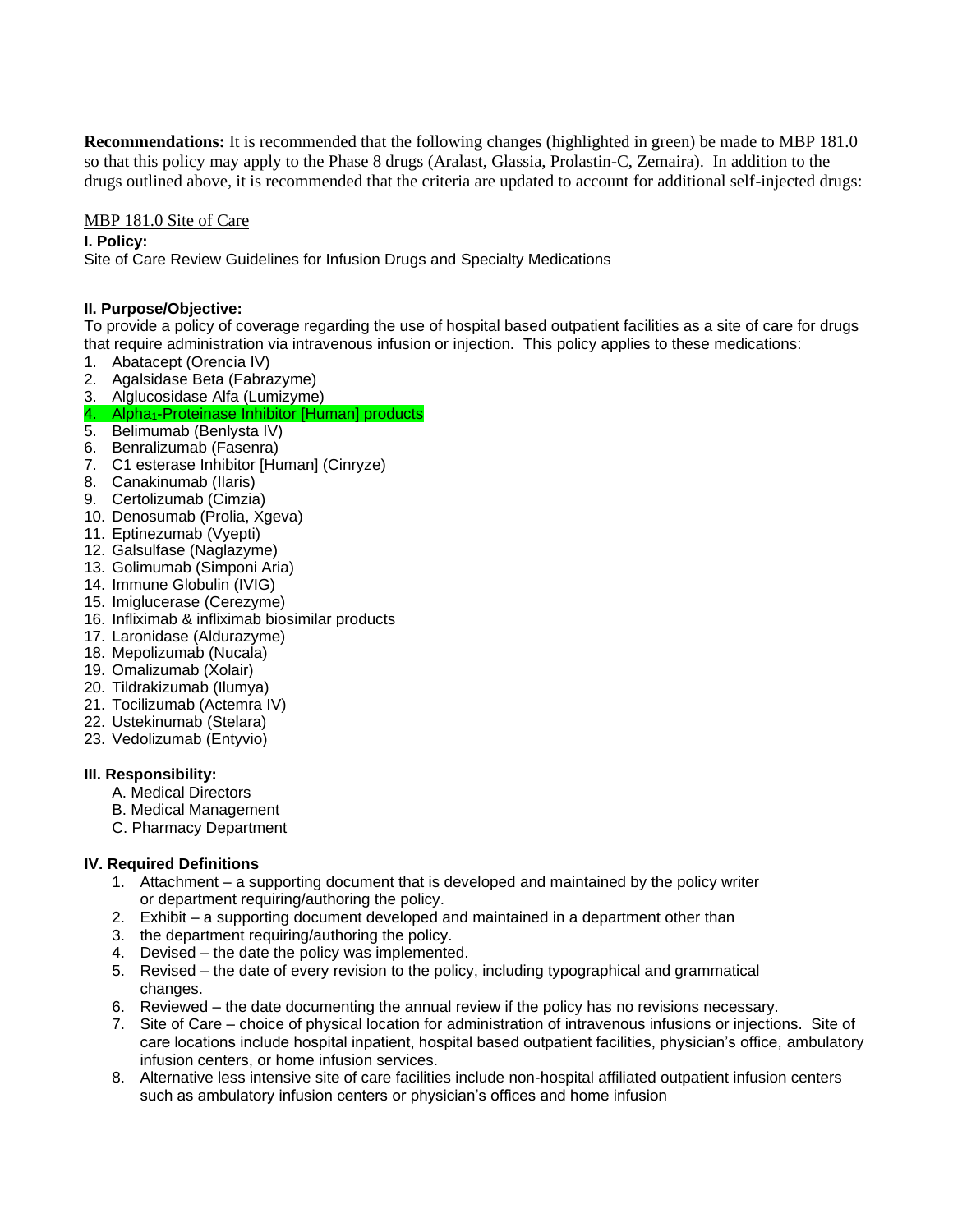**Recommendations:** It is recommended that the following changes (highlighted in green) be made to MBP 181.0 so that this policy may apply to the Phase 8 drugs (Aralast, Glassia, Prolastin-C, Zemaira). In addition to the drugs outlined above, it is recommended that the criteria are updated to account for additional self-injected drugs:

#### MBP 181.0 Site of Care

#### **I. Policy:**

Site of Care Review Guidelines for Infusion Drugs and Specialty Medications

### **II. Purpose/Objective:**

To provide a policy of coverage regarding the use of hospital based outpatient facilities as a site of care for drugs that require administration via intravenous infusion or injection. This policy applies to these medications:

- 1. Abatacept (Orencia IV)
- 2. Agalsidase Beta (Fabrazyme)
- 3. Alglucosidase Alfa (Lumizyme)

### 4. Alpha<sub>1</sub>-Proteinase Inhibitor [Human] products

- 5. Belimumab (Benlysta IV)
- 6. Benralizumab (Fasenra)
- 7. C1 esterase Inhibitor [Human] (Cinryze)
- 8. Canakinumab (Ilaris)
- 9. Certolizumab (Cimzia)
- 10. Denosumab (Prolia, Xgeva)
- 11. Eptinezumab (Vyepti)
- 12. Galsulfase (Naglazyme)
- 13. Golimumab (Simponi Aria)
- 14. Immune Globulin (IVIG)
- 15. Imiglucerase (Cerezyme)
- 16. Infliximab & infliximab biosimilar products
- 17. Laronidase (Aldurazyme)
- 18. Mepolizumab (Nucala)
- 19. Omalizumab (Xolair)
- 20. Tildrakizumab (Ilumya)
- 21. Tocilizumab (Actemra IV)
- 22. Ustekinumab (Stelara)
- 23. Vedolizumab (Entyvio)

#### **III. Responsibility:**

- A. Medical Directors
- B. Medical Management
- C. Pharmacy Department

## **IV. Required Definitions**

- 1. Attachment a supporting document that is developed and maintained by the policy writer or department requiring/authoring the policy.
- 2. Exhibit a supporting document developed and maintained in a department other than
- 3. the department requiring/authoring the policy.
- 4. Devised the date the policy was implemented.
- 5. Revised the date of every revision to the policy, including typographical and grammatical changes.
- 6. Reviewed the date documenting the annual review if the policy has no revisions necessary.
- 7. Site of Care choice of physical location for administration of intravenous infusions or injections. Site of care locations include hospital inpatient, hospital based outpatient facilities, physician's office, ambulatory infusion centers, or home infusion services.
- 8. Alternative less intensive site of care facilities include non-hospital affiliated outpatient infusion centers such as ambulatory infusion centers or physician's offices and home infusion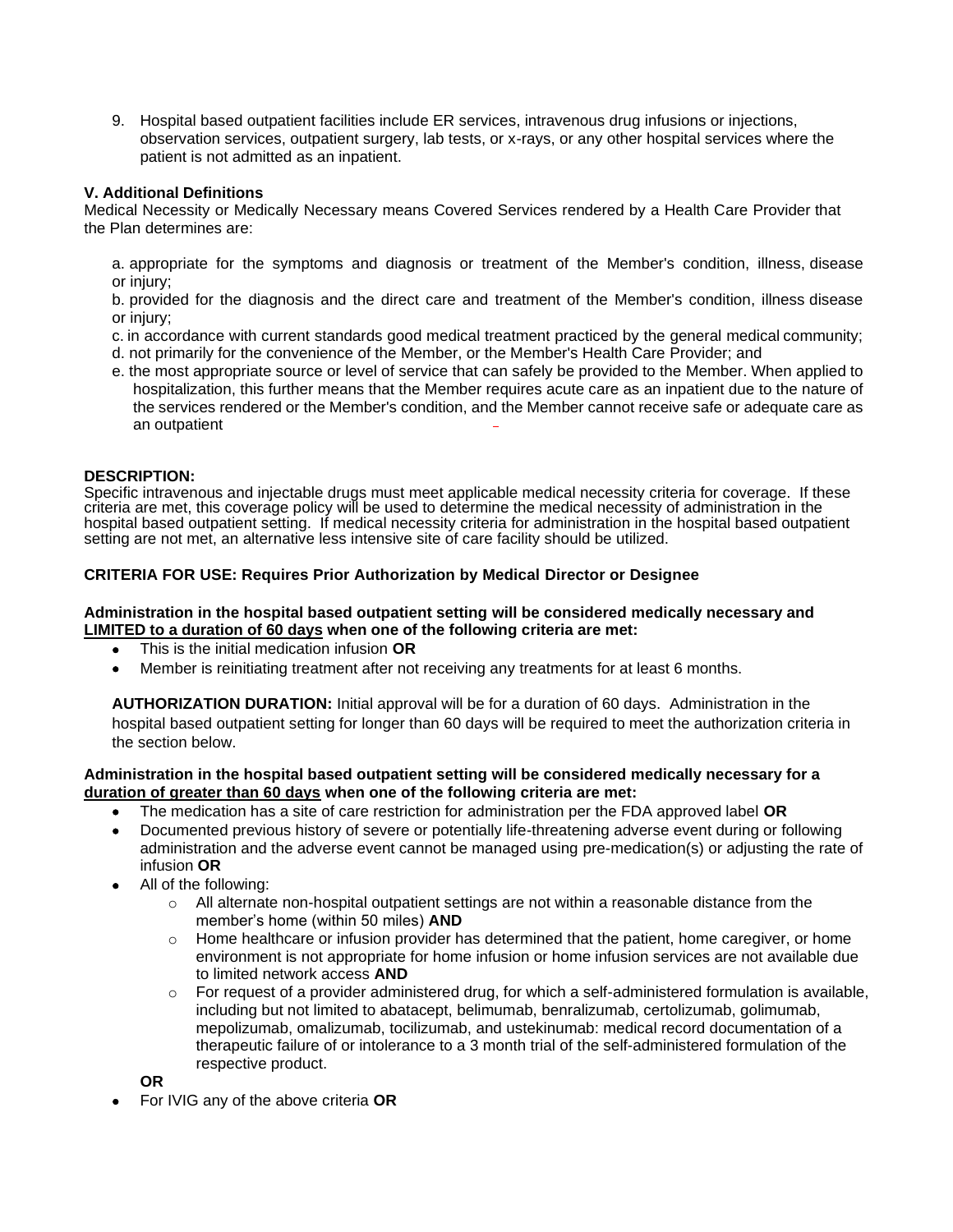9. Hospital based outpatient facilities include ER services, intravenous drug infusions or injections, observation services, outpatient surgery, lab tests, or x-rays, or any other hospital services where the patient is not admitted as an inpatient.

### **V. Additional Definitions**

Medical Necessity or Medically Necessary means Covered Services rendered by a Health Care Provider that the Plan determines are:

a. appropriate for the symptoms and diagnosis or treatment of the Member's condition, illness, disease or injury;

b. provided for the diagnosis and the direct care and treatment of the Member's condition, illness disease or injury;

- c. in accordance with current standards good medical treatment practiced by the general medical community;
- d. not primarily for the convenience of the Member, or the Member's Health Care Provider; and
- e. the most appropriate source or level of service that can safely be provided to the Member. When applied to hospitalization, this further means that the Member requires acute care as an inpatient due to the nature of the services rendered or the Member's condition, and the Member cannot receive safe or adequate care as an outpatient

#### **DESCRIPTION:**

Specific intravenous and injectable drugs must meet applicable medical necessity criteria for coverage. If these criteria are met, this coverage policy will be used to determine the medical necessity of administration in the hospital based outpatient setting. If medical necessity criteria for administration in the hospital based outpatient setting are not met, an alternative less intensive site of care facility should be utilized.

#### **CRITERIA FOR USE: Requires Prior Authorization by Medical Director or Designee**

#### **Administration in the hospital based outpatient setting will be considered medically necessary and LIMITED to a duration of 60 days when one of the following criteria are met:**

- This is the initial medication infusion **OR**
- Member is reinitiating treatment after not receiving any treatments for at least 6 months.

**AUTHORIZATION DURATION:** Initial approval will be for a duration of 60 days. Administration in the hospital based outpatient setting for longer than 60 days will be required to meet the authorization criteria in the section below.

#### **Administration in the hospital based outpatient setting will be considered medically necessary for a duration of greater than 60 days when one of the following criteria are met:**

- The medication has a site of care restriction for administration per the FDA approved label **OR**
- Documented previous history of severe or potentially life-threatening adverse event during or following administration and the adverse event cannot be managed using pre-medication(s) or adjusting the rate of infusion **OR**
- All of the following:
	- $\circ$  All alternate non-hospital outpatient settings are not within a reasonable distance from the member's home (within 50 miles) **AND**
	- $\circ$  Home healthcare or infusion provider has determined that the patient, home caregiver, or home environment is not appropriate for home infusion or home infusion services are not available due to limited network access **AND**
	- $\circ$  For request of a provider administered drug, for which a self-administered formulation is available, including but not limited to abatacept, belimumab, benralizumab, certolizumab, golimumab, mepolizumab, omalizumab, tocilizumab, and ustekinumab: medical record documentation of a therapeutic failure of or intolerance to a 3 month trial of the self-administered formulation of the respective product.

**OR**

• For IVIG any of the above criteria **OR**